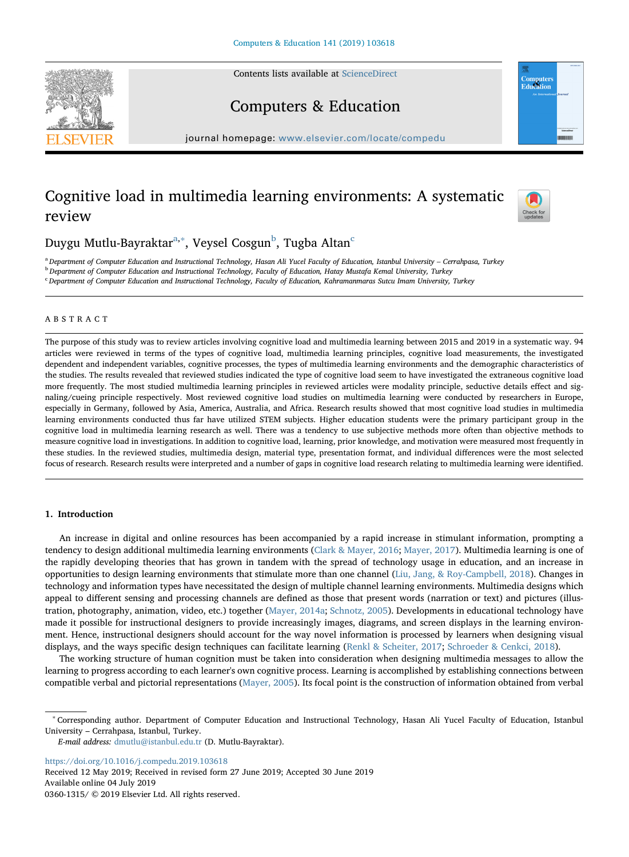Contents lists available at [ScienceDirect](http://www.sciencedirect.com/science/journal/03601315)





# Computers & Education

journal homepage: [www.elsevier.com/locate/compedu](https://www.elsevier.com/locate/compedu)

# Cognitive load in multimedia learning environments: A systematic review



Duygu Mutlu-Bayraktar<sup>[a,](#page-0-0)</sup>\*, Veysel Cosgun<sup>[b](#page-0-2)</sup>, Tugba Altan<sup>[c](#page-0-3)</sup>

<span id="page-0-0"></span>a Department of Computer Education and Instructional Technology, Hasan Ali Yucel Faculty of Education, Istanbul University - Cerrahpasa, Turkey

<span id="page-0-2"></span><sup>b</sup> Department of Computer Education and Instructional Technology, Faculty of Education, Hatay Mustafa Kemal University, Turkey

<span id="page-0-3"></span><sup>c</sup> Department of Computer Education and Instructional Technology, Faculty of Education, Kahramanmaras Sutcu Imam University, Turkey

# ABSTRACT

The purpose of this study was to review articles involving cognitive load and multimedia learning between 2015 and 2019 in a systematic way. 94 articles were reviewed in terms of the types of cognitive load, multimedia learning principles, cognitive load measurements, the investigated dependent and independent variables, cognitive processes, the types of multimedia learning environments and the demographic characteristics of the studies. The results revealed that reviewed studies indicated the type of cognitive load seem to have investigated the extraneous cognitive load more frequently. The most studied multimedia learning principles in reviewed articles were modality principle, seductive details effect and signaling/cueing principle respectively. Most reviewed cognitive load studies on multimedia learning were conducted by researchers in Europe, especially in Germany, followed by Asia, America, Australia, and Africa. Research results showed that most cognitive load studies in multimedia learning environments conducted thus far have utilized STEM subjects. Higher education students were the primary participant group in the cognitive load in multimedia learning research as well. There was a tendency to use subjective methods more often than objective methods to measure cognitive load in investigations. In addition to cognitive load, learning, prior knowledge, and motivation were measured most frequently in these studies. In the reviewed studies, multimedia design, material type, presentation format, and individual differences were the most selected focus of research. Research results were interpreted and a number of gaps in cognitive load research relating to multimedia learning were identified.

# 1. Introduction

An increase in digital and online resources has been accompanied by a rapid increase in stimulant information, prompting a tendency to design additional multimedia learning environments [\(Clark & Mayer, 2016](#page-17-0); [Mayer, 2017](#page-18-0)). Multimedia learning is one of the rapidly developing theories that has grown in tandem with the spread of technology usage in education, and an increase in opportunities to design learning environments that stimulate more than one channel [\(Liu, Jang, & Roy-Campbell, 2018](#page-18-1)). Changes in technology and information types have necessitated the design of multiple channel learning environments. Multimedia designs which appeal to different sensing and processing channels are defined as those that present words (narration or text) and pictures (illustration, photography, animation, video, etc.) together ([Mayer, 2014a](#page-18-2); [Schnotz, 2005\)](#page-18-3). Developments in educational technology have made it possible for instructional designers to provide increasingly images, diagrams, and screen displays in the learning environment. Hence, instructional designers should account for the way novel information is processed by learners when designing visual displays, and the ways specific design techniques can facilitate learning [\(Renkl & Scheiter, 2017;](#page-18-4) [Schroeder & Cenkci, 2018](#page-18-5)).

The working structure of human cognition must be taken into consideration when designing multimedia messages to allow the learning to progress according to each learner's own cognitive process. Learning is accomplished by establishing connections between compatible verbal and pictorial representations [\(Mayer, 2005\)](#page-18-6). Its focal point is the construction of information obtained from verbal

<https://doi.org/10.1016/j.compedu.2019.103618> Received 12 May 2019; Received in revised form 27 June 2019; Accepted 30 June 2019

Available online 04 July 2019 0360-1315/ © 2019 Elsevier Ltd. All rights reserved.

<span id="page-0-1"></span><sup>∗</sup> Corresponding author. Department of Computer Education and Instructional Technology, Hasan Ali Yucel Faculty of Education, Istanbul University – Cerrahpasa, Istanbul, Turkey.

E-mail address: [dmutlu@istanbul.edu.tr](mailto:dmutlu@istanbul.edu.tr) (D. Mutlu-Bayraktar).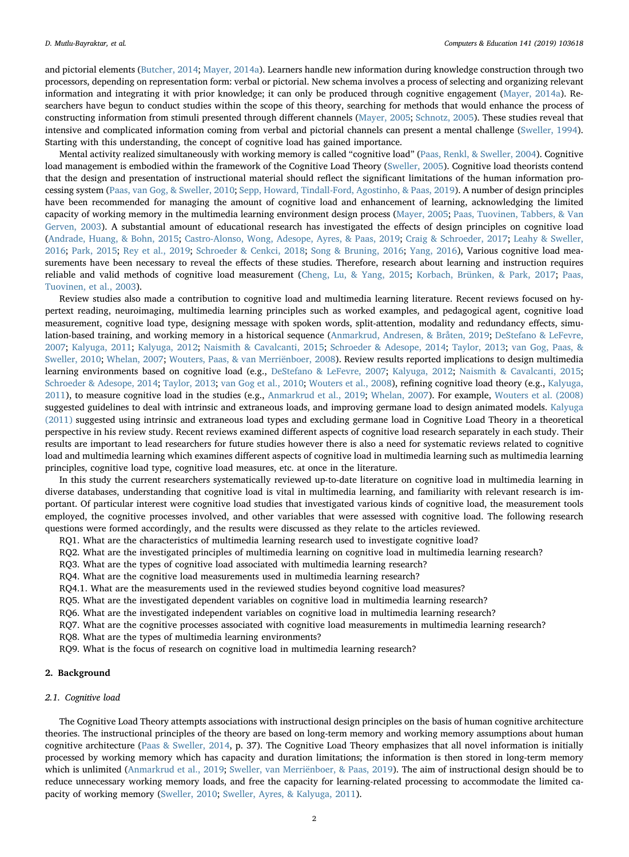and pictorial elements [\(Butcher, 2014;](#page-17-1) [Mayer, 2014a\)](#page-18-2). Learners handle new information during knowledge construction through two processors, depending on representation form: verbal or pictorial. New schema involves a process of selecting and organizing relevant information and integrating it with prior knowledge; it can only be produced through cognitive engagement ([Mayer, 2014a](#page-18-2)). Researchers have begun to conduct studies within the scope of this theory, searching for methods that would enhance the process of constructing information from stimuli presented through different channels ([Mayer, 2005](#page-18-6); [Schnotz, 2005](#page-18-3)). These studies reveal that intensive and complicated information coming from verbal and pictorial channels can present a mental challenge [\(Sweller, 1994\)](#page-19-0). Starting with this understanding, the concept of cognitive load has gained importance.

Mental activity realized simultaneously with working memory is called "cognitive load" ([Paas, Renkl, & Sweller, 2004](#page-18-7)). Cognitive load management is embodied within the framework of the Cognitive Load Theory ([Sweller, 2005\)](#page-19-1). Cognitive load theorists contend that the design and presentation of instructional material should reflect the significant limitations of the human information processing system ([Paas, van Gog, & Sweller, 2010](#page-18-8); [Sepp, Howard, Tindall-Ford, Agostinho, & Paas, 2019\)](#page-18-9). A number of design principles have been recommended for managing the amount of cognitive load and enhancement of learning, acknowledging the limited capacity of working memory in the multimedia learning environment design process [\(Mayer, 2005](#page-18-6); [Paas, Tuovinen, Tabbers, & Van](#page-18-10) [Gerven, 2003\)](#page-18-10). A substantial amount of educational research has investigated the effects of design principles on cognitive load ([Andrade, Huang, & Bohn, 2015;](#page-19-2) [Castro-Alonso, Wong, Adesope, Ayres, & Paas, 2019](#page-17-2); [Craig & Schroeder, 2017;](#page-19-3) [Leahy & Sweller,](#page-20-0) [2016;](#page-20-0) [Park, 2015](#page-20-1); [Rey et al., 2019;](#page-18-11) [Schroeder & Cenkci, 2018](#page-18-5); [Song & Bruning, 2016;](#page-21-0) [Yang, 2016\)](#page-19-4), Various cognitive load measurements have been necessary to reveal the effects of these studies. Therefore, research about learning and instruction requires reliable and valid methods of cognitive load measurement [\(Cheng, Lu, & Yang, 2015;](#page-19-5) [Korbach, Brünken, & Park, 2017](#page-17-3); [Paas,](#page-18-10) [Tuovinen, et al., 2003\)](#page-18-10).

Review studies also made a contribution to cognitive load and multimedia learning literature. Recent reviews focused on hypertext reading, neuroimaging, multimedia learning principles such as worked examples, and pedagogical agent, cognitive load measurement, cognitive load type, designing message with spoken words, split-attention, modality and redundancy effects, simulation-based training, and working memory in a historical sequence [\(Anmarkrud, Andresen, & Bråten, 2019;](#page-17-4) [DeStefano & LeFevre,](#page-17-5) [2007;](#page-17-5) [Kalyuga, 2011](#page-17-6); [Kalyuga, 2012](#page-17-7); [Naismith & Cavalcanti, 2015;](#page-18-12) [Schroeder & Adesope, 2014](#page-18-13); [Taylor, 2013;](#page-19-6) van [Gog, Paas, &](#page-17-8) [Sweller, 2010;](#page-17-8) [Whelan, 2007;](#page-21-1) [Wouters, Paas, & van Merriënboer, 2008](#page-19-7)). Review results reported implications to design multimedia learning environments based on cognitive load (e.g., [DeStefano & LeFevre, 2007](#page-17-5); [Kalyuga, 2012](#page-17-7); [Naismith & Cavalcanti, 2015;](#page-18-12) [Schroeder & Adesope, 2014;](#page-18-13) [Taylor, 2013;](#page-19-6) [van Gog et al., 2010;](#page-17-8) [Wouters et al., 2008](#page-19-7)), refining cognitive load theory (e.g., [Kalyuga,](#page-17-6) [2011\)](#page-17-6), to measure cognitive load in the studies (e.g., [Anmarkrud et al., 2019](#page-17-4); [Whelan, 2007](#page-21-1)). For example, [Wouters et al. \(2008\)](#page-19-7) suggested guidelines to deal with intrinsic and extraneous loads, and improving germane load to design animated models. [Kalyuga](#page-17-6) [\(2011\)](#page-17-6) suggested using intrinsic and extraneous load types and excluding germane load in Cognitive Load Theory in a theoretical perspective in his review study. Recent reviews examined different aspects of cognitive load research separately in each study. Their results are important to lead researchers for future studies however there is also a need for systematic reviews related to cognitive load and multimedia learning which examines different aspects of cognitive load in multimedia learning such as multimedia learning principles, cognitive load type, cognitive load measures, etc. at once in the literature.

In this study the current researchers systematically reviewed up-to-date literature on cognitive load in multimedia learning in diverse databases, understanding that cognitive load is vital in multimedia learning, and familiarity with relevant research is important. Of particular interest were cognitive load studies that investigated various kinds of cognitive load, the measurement tools employed, the cognitive processes involved, and other variables that were assessed with cognitive load. The following research questions were formed accordingly, and the results were discussed as they relate to the articles reviewed.

- RQ1. What are the characteristics of multimedia learning research used to investigate cognitive load?
- RQ2. What are the investigated principles of multimedia learning on cognitive load in multimedia learning research?
- RQ3. What are the types of cognitive load associated with multimedia learning research?
- RQ4. What are the cognitive load measurements used in multimedia learning research?
- RQ4.1. What are the measurements used in the reviewed studies beyond cognitive load measures?
- RQ5. What are the investigated dependent variables on cognitive load in multimedia learning research?
- RQ6. What are the investigated independent variables on cognitive load in multimedia learning research?
- RQ7. What are the cognitive processes associated with cognitive load measurements in multimedia learning research?
- RQ8. What are the types of multimedia learning environments?
- RQ9. What is the focus of research on cognitive load in multimedia learning research?

# 2. Background

# 2.1. Cognitive load

The Cognitive Load Theory attempts associations with instructional design principles on the basis of human cognitive architecture theories. The instructional principles of the theory are based on long-term memory and working memory assumptions about human cognitive architecture ([Paas & Sweller, 2014,](#page-18-14) p. 37). The Cognitive Load Theory emphasizes that all novel information is initially processed by working memory which has capacity and duration limitations; the information is then stored in long-term memory which is unlimited ([Anmarkrud et al., 2019](#page-17-4); [Sweller, van Merriënboer, & Paas, 2019](#page-19-8)). The aim of instructional design should be to reduce unnecessary working memory loads, and free the capacity for learning-related processing to accommodate the limited capacity of working memory [\(Sweller, 2010](#page-19-9); [Sweller, Ayres, & Kalyuga, 2011](#page-19-10)).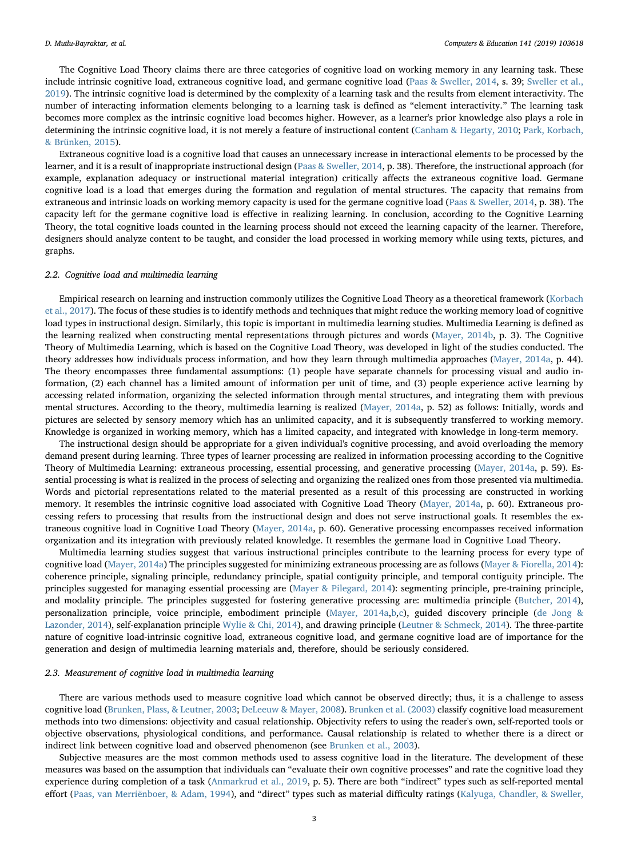The Cognitive Load Theory claims there are three categories of cognitive load on working memory in any learning task. These include intrinsic cognitive load, extraneous cognitive load, and germane cognitive load ([Paas & Sweller, 2014,](#page-18-14) s. 39; [Sweller et al.,](#page-19-8) [2019\)](#page-19-8). The intrinsic cognitive load is determined by the complexity of a learning task and the results from element interactivity. The number of interacting information elements belonging to a learning task is defined as "element interactivity." The learning task becomes more complex as the intrinsic cognitive load becomes higher. However, as a learner's prior knowledge also plays a role in determining the intrinsic cognitive load, it is not merely a feature of instructional content [\(Canham & Hegarty, 2010;](#page-17-9) [Park, Korbach,](#page-20-2) [& Brünken, 2015\)](#page-20-2).

Extraneous cognitive load is a cognitive load that causes an unnecessary increase in interactional elements to be processed by the learner, and it is a result of inappropriate instructional design ([Paas & Sweller, 2014](#page-18-14), p. 38). Therefore, the instructional approach (for example, explanation adequacy or instructional material integration) critically affects the extraneous cognitive load. Germane cognitive load is a load that emerges during the formation and regulation of mental structures. The capacity that remains from extraneous and intrinsic loads on working memory capacity is used for the germane cognitive load ([Paas & Sweller, 2014,](#page-18-14) p. 38). The capacity left for the germane cognitive load is effective in realizing learning. In conclusion, according to the Cognitive Learning Theory, the total cognitive loads counted in the learning process should not exceed the learning capacity of the learner. Therefore, designers should analyze content to be taught, and consider the load processed in working memory while using texts, pictures, and graphs.

# 2.2. Cognitive load and multimedia learning

Empirical research on learning and instruction commonly utilizes the Cognitive Load Theory as a theoretical framework ([Korbach](#page-17-3) [et al., 2017](#page-17-3)). The focus of these studies is to identify methods and techniques that might reduce the working memory load of cognitive load types in instructional design. Similarly, this topic is important in multimedia learning studies. Multimedia Learning is defined as the learning realized when constructing mental representations through pictures and words ([Mayer, 2014b,](#page-18-15) p. 3). The Cognitive Theory of Multimedia Learning, which is based on the Cognitive Load Theory, was developed in light of the studies conducted. The theory addresses how individuals process information, and how they learn through multimedia approaches ([Mayer, 2014a,](#page-18-2) p. 44). The theory encompasses three fundamental assumptions: (1) people have separate channels for processing visual and audio information, (2) each channel has a limited amount of information per unit of time, and (3) people experience active learning by accessing related information, organizing the selected information through mental structures, and integrating them with previous mental structures. According to the theory, multimedia learning is realized ([Mayer, 2014a](#page-18-2), p. 52) as follows: Initially, words and pictures are selected by sensory memory which has an unlimited capacity, and it is subsequently transferred to working memory. Knowledge is organized in working memory, which has a limited capacity, and integrated with knowledge in long-term memory.

The instructional design should be appropriate for a given individual's cognitive processing, and avoid overloading the memory demand present during learning. Three types of learner processing are realized in information processing according to the Cognitive Theory of Multimedia Learning: extraneous processing, essential processing, and generative processing ([Mayer, 2014a](#page-18-2), p. 59). Essential processing is what is realized in the process of selecting and organizing the realized ones from those presented via multimedia. Words and pictorial representations related to the material presented as a result of this processing are constructed in working memory. It resembles the intrinsic cognitive load associated with Cognitive Load Theory [\(Mayer, 2014a](#page-18-2), p. 60). Extraneous processing refers to processing that results from the instructional design and does not serve instructional goals. It resembles the extraneous cognitive load in Cognitive Load Theory ([Mayer, 2014a](#page-18-2), p. 60). Generative processing encompasses received information organization and its integration with previously related knowledge. It resembles the germane load in Cognitive Load Theory.

Multimedia learning studies suggest that various instructional principles contribute to the learning process for every type of cognitive load [\(Mayer, 2014a\)](#page-18-2) The principles suggested for minimizing extraneous processing are as follows ([Mayer & Fiorella, 2014](#page-18-16)): coherence principle, signaling principle, redundancy principle, spatial contiguity principle, and temporal contiguity principle. The principles suggested for managing essential processing are ([Mayer & Pilegard, 2014](#page-18-17)): segmenting principle, pre-training principle, and modality principle. The principles suggested for fostering generative processing are: multimedia principle ([Butcher, 2014\)](#page-17-1), personalization principle, voice principle, embodiment principle [\(Mayer, 2014a,](#page-18-2)[b](#page-18-15)[,c](#page-18-18)), guided discovery principle [\(de Jong &](#page-17-10) [Lazonder, 2014\)](#page-17-10), self-explanation principle [Wylie & Chi, 2014](#page-19-11)), and drawing principle ([Leutner & Schmeck, 2014](#page-17-11)). The three-partite nature of cognitive load-intrinsic cognitive load, extraneous cognitive load, and germane cognitive load are of importance for the generation and design of multimedia learning materials and, therefore, should be seriously considered.

#### 2.3. Measurement of cognitive load in multimedia learning

There are various methods used to measure cognitive load which cannot be observed directly; thus, it is a challenge to assess cognitive load [\(Brunken, Plass, & Leutner, 2003](#page-17-12); [DeLeeuw & Mayer, 2008](#page-17-13)). [Brunken et al. \(2003\)](#page-17-12) classify cognitive load measurement methods into two dimensions: objectivity and casual relationship. Objectivity refers to using the reader's own, self-reported tools or objective observations, physiological conditions, and performance. Causal relationship is related to whether there is a direct or indirect link between cognitive load and observed phenomenon (see [Brunken et al., 2003\)](#page-17-12).

Subjective measures are the most common methods used to assess cognitive load in the literature. The development of these measures was based on the assumption that individuals can "evaluate their own cognitive processes" and rate the cognitive load they experience during completion of a task ([Anmarkrud et al., 2019](#page-17-4), p. 5). There are both "indirect" types such as self-reported mental effort ([Paas, van Merriënboer, & Adam, 1994\)](#page-18-19), and "direct" types such as material difficulty ratings ([Kalyuga, Chandler, & Sweller,](#page-17-14)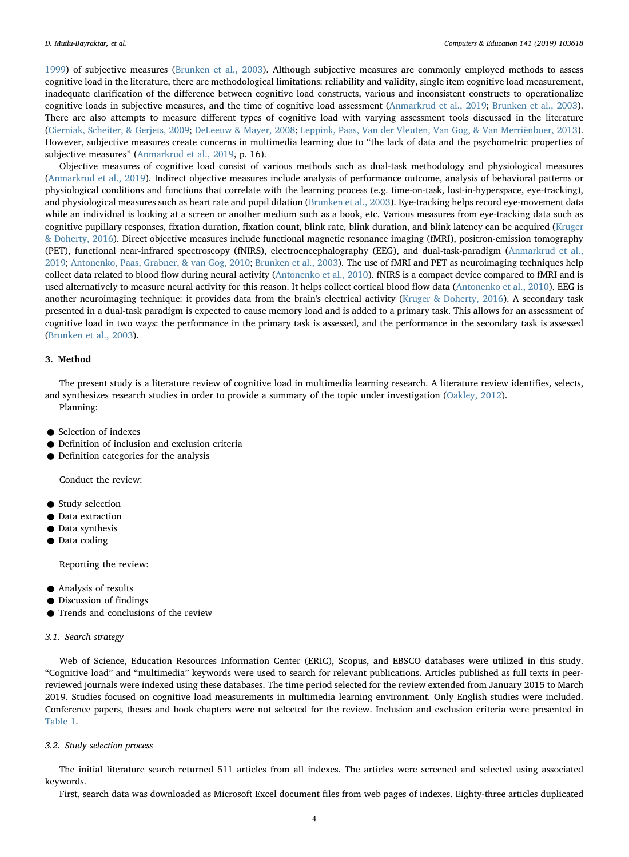[1999\)](#page-17-14) of subjective measures ([Brunken et al., 2003\)](#page-17-12). Although subjective measures are commonly employed methods to assess cognitive load in the literature, there are methodological limitations: reliability and validity, single item cognitive load measurement, inadequate clarification of the difference between cognitive load constructs, various and inconsistent constructs to operationalize cognitive loads in subjective measures, and the time of cognitive load assessment [\(Anmarkrud et al., 2019](#page-17-4); [Brunken et al., 2003\)](#page-17-12). There are also attempts to measure different types of cognitive load with varying assessment tools discussed in the literature ([Cierniak, Scheiter, & Gerjets, 2009](#page-17-15); [DeLeeuw & Mayer, 2008;](#page-17-13) [Leppink, Paas, Van der Vleuten, Van Gog, & Van Merriënboer, 2013](#page-17-16)). However, subjective measures create concerns in multimedia learning due to "the lack of data and the psychometric properties of subjective measures" ([Anmarkrud et al., 2019,](#page-17-4) p. 16).

Objective measures of cognitive load consist of various methods such as dual-task methodology and physiological measures ([Anmarkrud et al., 2019\)](#page-17-4). Indirect objective measures include analysis of performance outcome, analysis of behavioral patterns or physiological conditions and functions that correlate with the learning process (e.g. time-on-task, lost-in-hyperspace, eye-tracking), and physiological measures such as heart rate and pupil dilation [\(Brunken et al., 2003](#page-17-12)). Eye-tracking helps record eye-movement data while an individual is looking at a screen or another medium such as a book, etc. Various measures from eye-tracking data such as cognitive pupillary responses, fixation duration, fixation count, blink rate, blink duration, and blink latency can be acquired [\(Kruger](#page-17-17) [& Doherty, 2016](#page-17-17)). Direct objective measures include functional magnetic resonance imaging (fMRI), positron-emission tomography (PET), functional near-infrared spectroscopy (fNIRS), electroencephalography (EEG), and dual-task-paradigm ([Anmarkrud et al.,](#page-17-4) [2019;](#page-17-4) [Antonenko, Paas, Grabner, & van Gog, 2010;](#page-17-18) [Brunken et al., 2003\)](#page-17-12). The use of fMRI and PET as neuroimaging techniques help collect data related to blood flow during neural activity ([Antonenko et al., 2010\)](#page-17-18). fNIRS is a compact device compared to fMRI and is used alternatively to measure neural activity for this reason. It helps collect cortical blood flow data ([Antonenko et al., 2010](#page-17-18)). EEG is another neuroimaging technique: it provides data from the brain's electrical activity ([Kruger & Doherty, 2016\)](#page-17-17). A secondary task presented in a dual-task paradigm is expected to cause memory load and is added to a primary task. This allows for an assessment of cognitive load in two ways: the performance in the primary task is assessed, and the performance in the secondary task is assessed ([Brunken et al., 2003](#page-17-12)).

# 3. Method

The present study is a literature review of cognitive load in multimedia learning research. A literature review identifies, selects, and synthesizes research studies in order to provide a summary of the topic under investigation ([Oakley, 2012](#page-18-20)). Planning:

- Selection of indexes
- Definition of inclusion and exclusion criteria
- Definition categories for the analysis

Conduct the review:

- Study selection
- Data extraction
- Data synthesis
- Data coding

Reporting the review:

- Analysis of results
- Discussion of findings
- Trends and conclusions of the review

## 3.1. Search strategy

Web of Science, Education Resources Information Center (ERIC), Scopus, and EBSCO databases were utilized in this study. "Cognitive load" and "multimedia" keywords were used to search for relevant publications. Articles published as full texts in peerreviewed journals were indexed using these databases. The time period selected for the review extended from January 2015 to March 2019. Studies focused on cognitive load measurements in multimedia learning environment. Only English studies were included. Conference papers, theses and book chapters were not selected for the review. Inclusion and exclusion criteria were presented in [Table 1.](#page-4-0)

#### 3.2. Study selection process

The initial literature search returned 511 articles from all indexes. The articles were screened and selected using associated keywords.

First, search data was downloaded as Microsoft Excel document files from web pages of indexes. Eighty-three articles duplicated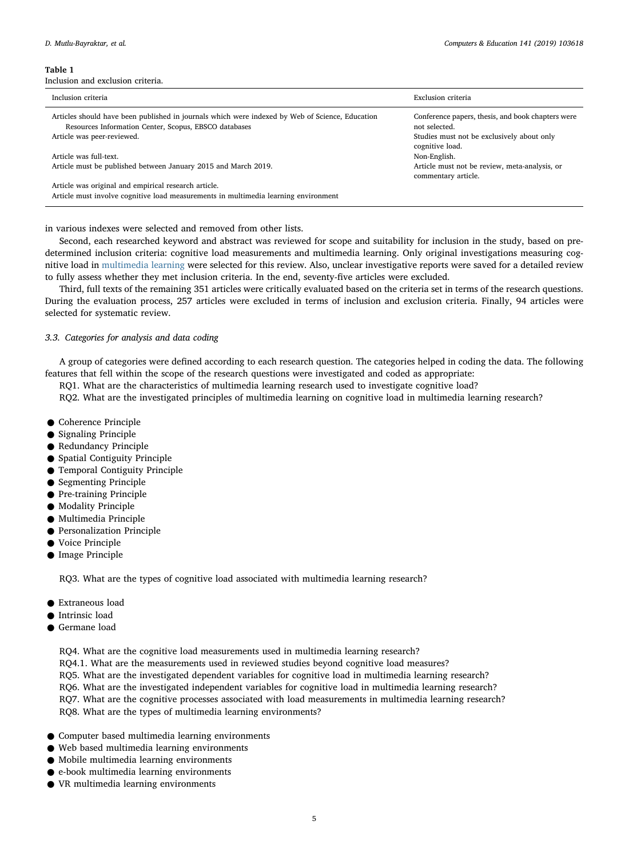<span id="page-4-0"></span>Inclusion and exclusion criteria.

| Inclusion criteria                                                                                                                                       | Exclusion criteria                                                   |
|----------------------------------------------------------------------------------------------------------------------------------------------------------|----------------------------------------------------------------------|
| Articles should have been published in journals which were indexed by Web of Science, Education<br>Resources Information Center, Scopus, EBSCO databases | Conference papers, thesis, and book chapters were<br>not selected.   |
| Article was peer-reviewed.                                                                                                                               | Studies must not be exclusively about only<br>cognitive load.        |
| Article was full-text.                                                                                                                                   | Non-English.                                                         |
| Article must be published between January 2015 and March 2019.                                                                                           | Article must not be review, meta-analysis, or<br>commentary article. |
| Article was original and empirical research article.<br>Article must involve cognitive load measurements in multimedia learning environment              |                                                                      |

in various indexes were selected and removed from other lists.

Second, each researched keyword and abstract was reviewed for scope and suitability for inclusion in the study, based on predetermined inclusion criteria: cognitive load measurements and multimedia learning. Only original investigations measuring cognitive load in [multimedia learning](https://www.sciencedirect.com/topics/social-sciences/multimedia-learning) were selected for this review. Also, unclear investigative reports were saved for a detailed review to fully assess whether they met inclusion criteria. In the end, seventy-five articles were excluded.

Third, full texts of the remaining 351 articles were critically evaluated based on the criteria set in terms of the research questions. During the evaluation process, 257 articles were excluded in terms of inclusion and exclusion criteria. Finally, 94 articles were selected for systematic review.

# 3.3. Categories for analysis and data coding

A group of categories were defined according to each research question. The categories helped in coding the data. The following features that fell within the scope of the research questions were investigated and coded as appropriate:

RQ1. What are the characteristics of multimedia learning research used to investigate cognitive load?

RQ2. What are the investigated principles of multimedia learning on cognitive load in multimedia learning research?

- Coherence Principle
- Signaling Principle
- Redundancy Principle
- Spatial Contiguity Principle
- Temporal Contiguity Principle
- **Segmenting Principle**
- Pre-training Principle
- Modality Principle
- Multimedia Principle
- Personalization Principle
- Voice Principle
- Image Principle

RQ3. What are the types of cognitive load associated with multimedia learning research?

- Extraneous load
- Intrinsic load
- Germane load

RQ4. What are the cognitive load measurements used in multimedia learning research? RQ4.1. What are the measurements used in reviewed studies beyond cognitive load measures? RQ5. What are the investigated dependent variables for cognitive load in multimedia learning research? RQ6. What are the investigated independent variables for cognitive load in multimedia learning research? RQ7. What are the cognitive processes associated with load measurements in multimedia learning research? RQ8. What are the types of multimedia learning environments?

- Computer based multimedia learning environments
- Web based multimedia learning environments
- Mobile multimedia learning environments
- e-book multimedia learning environments
- VR multimedia learning environments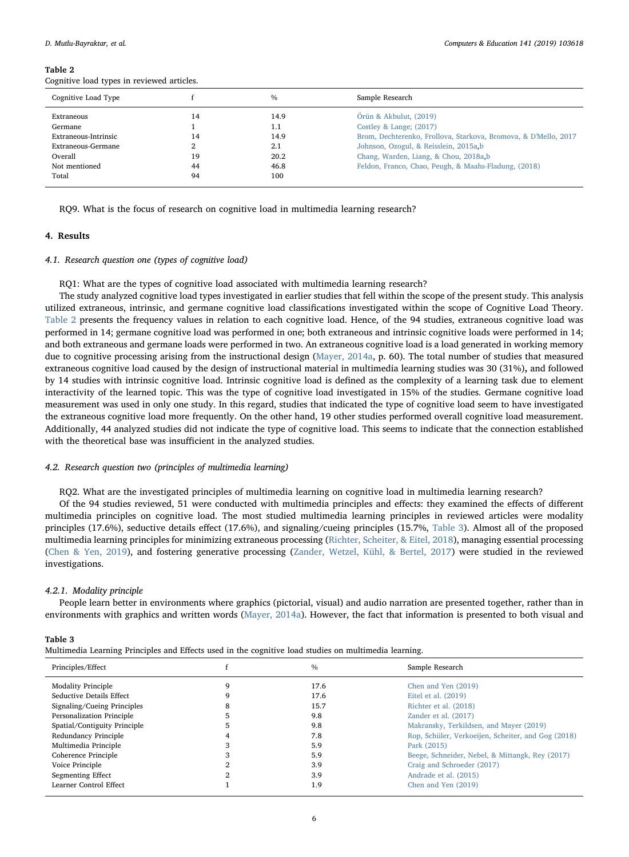<span id="page-5-0"></span>Cognitive load types in reviewed articles.

| Cognitive Load Type  |    | $\frac{0}{0}$ | Sample Research                                                 |
|----------------------|----|---------------|-----------------------------------------------------------------|
| Extraneous           | 14 | 14.9          | Örün & Akbulut, (2019)                                          |
| Germane              |    | 1.1           | Costley & Lange; $(2017)$                                       |
| Extraneous-Intrinsic | 14 | 14.9          | Brom, Dechterenko, Frollova, Starkova, Bromova, & D'Mello, 2017 |
| Extraneous-Germane   |    | 2.1           | Johnson, Ozogul, & Reisslein, 2015a,b                           |
| Overall              | 19 | 20.2          | Chang, Warden, Liang, & Chou, 2018a, b                          |
| Not mentioned        | 44 | 46.8          | Feldon, Franco, Chao, Peugh, & Maahs-Fladung, (2018)            |
| Total                | 94 | 100           |                                                                 |
|                      |    |               |                                                                 |

RQ9. What is the focus of research on cognitive load in multimedia learning research?

# 4. Results

## 4.1. Research question one (types of cognitive load)

RQ1: What are the types of cognitive load associated with multimedia learning research?

The study analyzed cognitive load types investigated in earlier studies that fell within the scope of the present study. This analysis utilized extraneous, intrinsic, and germane cognitive load classifications investigated within the scope of Cognitive Load Theory. [Table 2](#page-5-0) presents the frequency values in relation to each cognitive load. Hence, of the 94 studies, extraneous cognitive load was performed in 14; germane cognitive load was performed in one; both extraneous and intrinsic cognitive loads were performed in 14; and both extraneous and germane loads were performed in two. An extraneous cognitive load is a load generated in working memory due to cognitive processing arising from the instructional design ([Mayer, 2014a,](#page-18-2) p. 60). The total number of studies that measured extraneous cognitive load caused by the design of instructional material in multimedia learning studies was 30 (31%), and followed by 14 studies with intrinsic cognitive load. Intrinsic cognitive load is defined as the complexity of a learning task due to element interactivity of the learned topic. This was the type of cognitive load investigated in 15% of the studies. Germane cognitive load measurement was used in only one study. In this regard, studies that indicated the type of cognitive load seem to have investigated the extraneous cognitive load more frequently. On the other hand, 19 other studies performed overall cognitive load measurement. Additionally, 44 analyzed studies did not indicate the type of cognitive load. This seems to indicate that the connection established with the theoretical base was insufficient in the analyzed studies.

# 4.2. Research question two (principles of multimedia learning)

RQ2. What are the investigated principles of multimedia learning on cognitive load in multimedia learning research?

Of the 94 studies reviewed, 51 were conducted with multimedia principles and effects: they examined the effects of different multimedia principles on cognitive load. The most studied multimedia learning principles in reviewed articles were modality principles (17.6%), seductive details effect (17.6%), and signaling/cueing principles (15.7%, [Table 3](#page-5-1)). Almost all of the proposed multimedia learning principles for minimizing extraneous processing ([Richter, Scheiter, & Eitel, 2018](#page-21-2)), managing essential processing ([Chen & Yen, 2019\)](#page-19-12), and fostering generative processing [\(Zander, Wetzel, Kühl, & Bertel, 2017\)](#page-21-3) were studied in the reviewed investigations.

# 4.2.1. Modality principle

People learn better in environments where graphics (pictorial, visual) and audio narration are presented together, rather than in environments with graphics and written words [\(Mayer, 2014a\)](#page-18-2). However, the fact that information is presented to both visual and

<span id="page-5-1"></span>

| able |
|------|
|------|

Multimedia Learning Principles and Effects used in the cognitive load studies on multimedia learning.

| Principles/Effect            | $\frac{0}{0}$ | Sample Research                                    |
|------------------------------|---------------|----------------------------------------------------|
| <b>Modality Principle</b>    | 17.6          | Chen and Yen (2019)                                |
| Seductive Details Effect     | 17.6          | Eitel et al. (2019)                                |
| Signaling/Cueing Principles  | 15.7          | Richter et al. (2018)                              |
| Personalization Principle    | 9.8           | Zander et al. (2017)                               |
| Spatial/Contiguity Principle | 9.8           | Makransky, Terkildsen, and Mayer (2019)            |
| Redundancy Principle         | 7.8           | Rop, Schüler, Verkoeijen, Scheiter, and Gog (2018) |
| Multimedia Principle         | 5.9           | Park (2015)                                        |
| Coherence Principle          | 5.9           | Beege, Schneider, Nebel, & Mittangk, Rey (2017)    |
| Voice Principle              | 3.9           | Craig and Schroeder (2017)                         |
| <b>Segmenting Effect</b>     | 3.9           | Andrade et al. (2015)                              |
| Learner Control Effect       | 1.9           | Chen and Yen (2019)                                |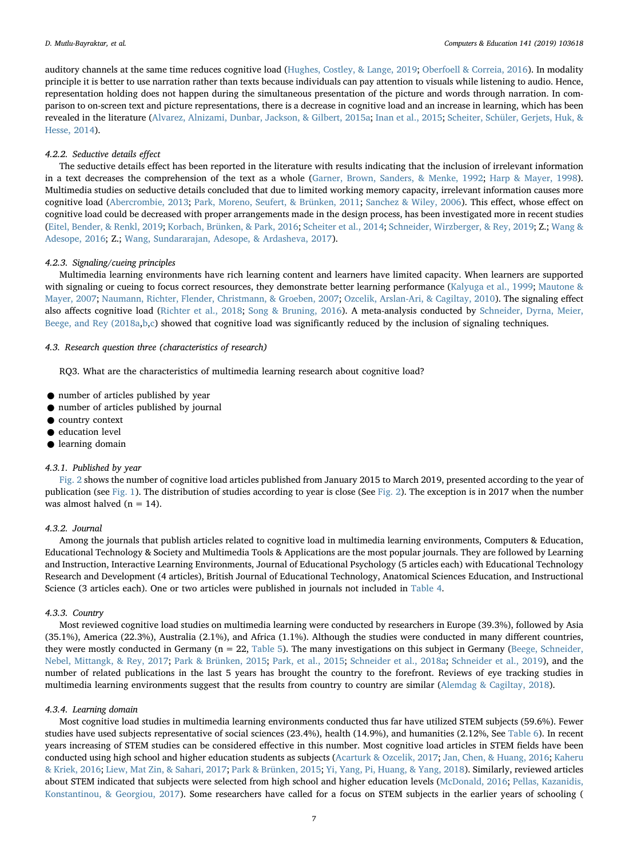auditory channels at the same time reduces cognitive load [\(Hughes, Costley, & Lange, 2019](#page-17-19); [Oberfoell & Correia, 2016](#page-18-21)). In modality principle it is better to use narration rather than texts because individuals can pay attention to visuals while listening to audio. Hence, representation holding does not happen during the simultaneous presentation of the picture and words through narration. In comparison to on-screen text and picture representations, there is a decrease in cognitive load and an increase in learning, which has been revealed in the literature ([Alvarez, Alnizami, Dunbar, Jackson, & Gilbert, 2015a;](#page-19-20) [Inan et al., 2015](#page-20-7); [Scheiter, Schüler, Gerjets, Huk, &](#page-18-22) [Hesse, 2014\)](#page-18-22).

#### 4.2.2. Seductive details effect

The seductive details effect has been reported in the literature with results indicating that the inclusion of irrelevant information in a text decreases the comprehension of the text as a whole [\(Garner, Brown, Sanders, & Menke, 1992](#page-17-20); [Harp & Mayer, 1998\)](#page-19-21). Multimedia studies on seductive details concluded that due to limited working memory capacity, irrelevant information causes more cognitive load ([Abercrombie, 2013](#page-17-21); [Park, Moreno, Seufert, & Brünken, 2011;](#page-18-23) [Sanchez & Wiley, 2006\)](#page-18-24). This effect, whose effect on cognitive load could be decreased with proper arrangements made in the design process, has been investigated more in recent studies ([Eitel, Bender, & Renkl, 2019](#page-19-18); [Korbach, Brünken, & Park, 2016](#page-20-8); [Scheiter et al., 2014;](#page-18-22) [Schneider, Wirzberger, & Rey, 2019](#page-21-5); Z.; [Wang &](#page-19-22) [Adesope, 2016](#page-19-22); Z.; [Wang, Sundararajan, Adesope, & Ardasheva, 2017\)](#page-21-6).

# 4.2.3. Signaling/cueing principles

Multimedia learning environments have rich learning content and learners have limited capacity. When learners are supported with signaling or cueing to focus correct resources, they demonstrate better learning performance [\(Kalyuga et al., 1999;](#page-17-14) [Mautone &](#page-18-25) [Mayer, 2007;](#page-18-25) [Naumann, Richter, Flender, Christmann, & Groeben, 2007;](#page-18-26) [Ozcelik, Arslan-Ari, & Cagiltay, 2010\)](#page-18-27). The signaling effect also affects cognitive load [\(Richter et al., 2018;](#page-21-2) [Song & Bruning, 2016\)](#page-21-0). A meta-analysis conducted by [Schneider, Dyrna, Meier,](#page-21-7) [Beege, and Rey \(2018a](#page-21-7)[,b](#page-21-8)[,c\)](#page-21-9) showed that cognitive load was significantly reduced by the inclusion of signaling techniques.

## 4.3. Research question three (characteristics of research)

RQ3. What are the characteristics of multimedia learning research about cognitive load?

- number of articles published by year
- number of articles published by journal
- country context
- education level
- learning domain

# 4.3.1. Published by year

[Fig. 2](#page-7-0) shows the number of cognitive load articles published from January 2015 to March 2019, presented according to the year of publication (see [Fig. 1](#page-7-1)). The distribution of studies according to year is close (See [Fig.](#page-7-0) 2). The exception is in 2017 when the number was almost halved ( $n = 14$ ).

# 4.3.2. Journal

Among the journals that publish articles related to cognitive load in multimedia learning environments, Computers & Education, Educational Technology & Society and Multimedia Tools & Applications are the most popular journals. They are followed by Learning and Instruction, Interactive Learning Environments, Journal of Educational Psychology (5 articles each) with Educational Technology Research and Development (4 articles), British Journal of Educational Technology, Anatomical Sciences Education, and Instructional Science (3 articles each). One or two articles were published in journals not included in [Table 4.](#page-8-0)

#### 4.3.3. Country

Most reviewed cognitive load studies on multimedia learning were conducted by researchers in Europe (39.3%), followed by Asia (35.1%), America (22.3%), Australia (2.1%), and Africa (1.1%). Although the studies were conducted in many different countries, they were mostly conducted in Germany (n = 22, [Table 5\)](#page-8-1). The many investigations on this subject in Germany ([Beege, Schneider,](#page-19-19) [Nebel, Mittangk, & Rey, 2017](#page-19-19); [Park & Brünken, 2015](#page-20-9); [Park, et al., 2015](#page-20-2); [Schneider et al., 2018a](#page-21-7); [Schneider et al., 2019](#page-21-5)), and the number of related publications in the last 5 years has brought the country to the forefront. Reviews of eye tracking studies in multimedia learning environments suggest that the results from country to country are similar ([Alemdag & Cagiltay, 2018\)](#page-17-22).

## 4.3.4. Learning domain

Most cognitive load studies in multimedia learning environments conducted thus far have utilized STEM subjects (59.6%). Fewer studies have used subjects representative of social sciences (23.4%), health (14.9%), and humanities (2.12%, See [Table 6](#page-8-2)). In recent years increasing of STEM studies can be considered effective in this number. Most cognitive load articles in STEM fields have been conducted using high school and higher education students as subjects ([Acarturk & Ozcelik, 2017;](#page-19-23) [Jan, Chen, & Huang, 2016;](#page-20-10) [Kaheru](#page-20-11) [& Kriek, 2016;](#page-20-11) [Liew, Mat Zin, & Sahari, 2017](#page-20-12); [Park & Brünken, 2015](#page-20-9); [Yi, Yang, Pi, Huang, & Yang, 2018](#page-21-10)). Similarly, reviewed articles about STEM indicated that subjects were selected from high school and higher education levels ([McDonald, 2016](#page-18-28); [Pellas, Kazanidis,](#page-18-29) [Konstantinou, & Georgiou, 2017\)](#page-18-29). Some researchers have called for a focus on STEM subjects in the earlier years of schooling (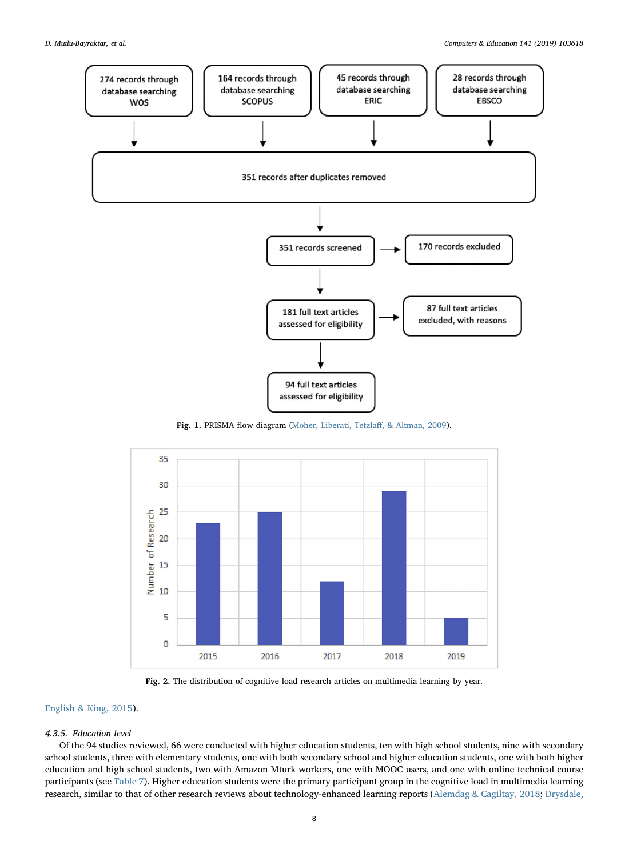<span id="page-7-1"></span>

Fig. 1. PRISMA flow diagram ([Moher, Liberati, Tetzla](#page-18-30)ff, & Altman, 2009).

<span id="page-7-0"></span>

Fig. 2. The distribution of cognitive load research articles on multimedia learning by year.

# [English & King, 2015\)](#page-17-23).

#### 4.3.5. Education level

Of the 94 studies reviewed, 66 were conducted with higher education students, ten with high school students, nine with secondary school students, three with elementary students, one with both secondary school and higher education students, one with both higher education and high school students, two with Amazon Mturk workers, one with MOOC users, and one with online technical course participants (see [Table 7\)](#page-8-3). Higher education students were the primary participant group in the cognitive load in multimedia learning research, similar to that of other research reviews about technology-enhanced learning reports ([Alemdag & Cagiltay, 2018;](#page-17-22) [Drysdale,](#page-17-24)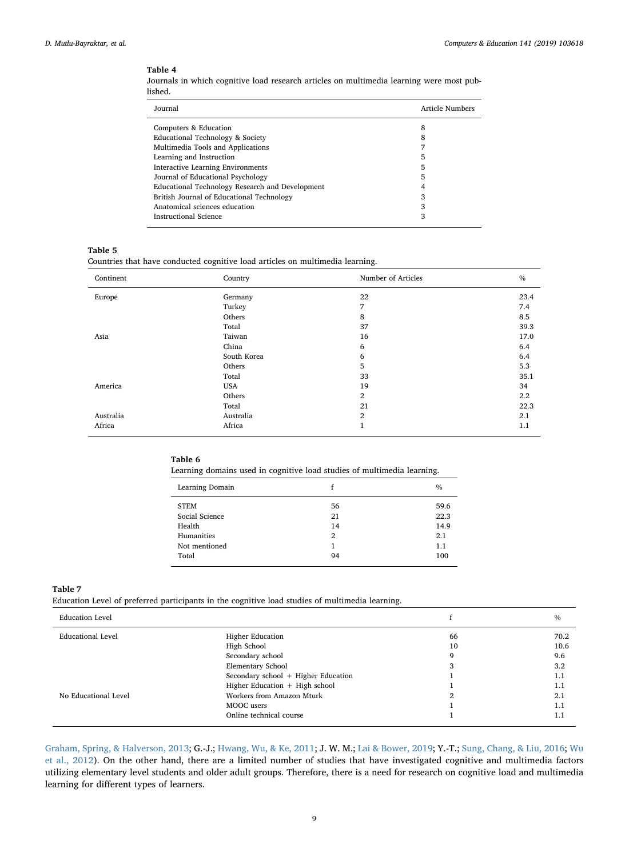<span id="page-8-0"></span>Journals in which cognitive load research articles on multimedia learning were most published.

| Journal                                         | Article Numbers |
|-------------------------------------------------|-----------------|
| Computers & Education                           | 8               |
| Educational Technology & Society                | 8               |
| Multimedia Tools and Applications               |                 |
| Learning and Instruction                        | 5               |
| <b>Interactive Learning Environments</b>        | 5               |
| Journal of Educational Psychology               | 5               |
| Educational Technology Research and Development |                 |
| British Journal of Educational Technology       | 3               |
| Anatomical sciences education                   | 3               |
| <b>Instructional Science</b>                    | 3               |

## <span id="page-8-1"></span>Table 5

Countries that have conducted cognitive load articles on multimedia learning.

| Continent | Country     | Number of Articles | $\frac{0}{0}$ |
|-----------|-------------|--------------------|---------------|
| Europe    | Germany     | 22                 | 23.4          |
|           | Turkey      | 7                  | 7.4           |
|           | Others      | 8                  | 8.5           |
|           | Total       | 37                 | 39.3          |
| Asia      | Taiwan      | 16                 | 17.0          |
|           | China       | 6                  | 6.4           |
|           | South Korea | 6                  | 6.4           |
|           | Others      | 5                  | 5.3           |
|           | Total       | 33                 | 35.1          |
| America   | USA         | 19                 | 34            |
|           | Others      | $\overline{2}$     | $2.2^{\circ}$ |
|           | Total       | 21                 | 22.3          |
| Australia | Australia   | $\mathbf{2}$       | 2.1           |
| Africa    | Africa      | 1                  | 1.1           |

# <span id="page-8-2"></span>Table 6

Learning domains used in cognitive load studies of multimedia learning.

| Learning Domain               |          | $\frac{0}{0}$ |
|-------------------------------|----------|---------------|
| <b>STEM</b><br>Social Science | 56<br>21 | 59.6<br>22.3  |
| Health                        | 14       | 14.9          |
| Humanities                    | 2        | 2.1           |
| Not mentioned                 | 1        | 1.1           |
| Total                         | 94       | 100           |

#### <span id="page-8-3"></span>Table 7

Education Level of preferred participants in the cognitive load studies of multimedia learning.

| <b>Education Level</b>   |                                     |    | $\%$ |
|--------------------------|-------------------------------------|----|------|
| <b>Educational Level</b> | <b>Higher Education</b>             | 66 | 70.2 |
|                          | High School                         | 10 | 10.6 |
|                          | Secondary school                    |    | 9.6  |
|                          | Elementary School                   |    | 3.2  |
|                          | Secondary school + Higher Education |    | 1.1  |
|                          | Higher Education + High school      |    | 1.1  |
| No Educational Level     | Workers from Amazon Mturk           | ົ  | 2.1  |
|                          | MOOC users                          |    | 1.1  |
|                          | Online technical course             |    | 1.1  |

[Graham, Spring, & Halverson, 2013;](#page-17-24) G.-J.; [Hwang, Wu, & Ke, 2011;](#page-17-25) J. W. M.; [Lai & Bower, 2019;](#page-17-26) Y.-T.; [Sung, Chang, & Liu, 2016](#page-18-31); [Wu](#page-19-24) [et al., 2012\)](#page-19-24). On the other hand, there are a limited number of studies that have investigated cognitive and multimedia factors utilizing elementary level students and older adult groups. Therefore, there is a need for research on cognitive load and multimedia learning for different types of learners.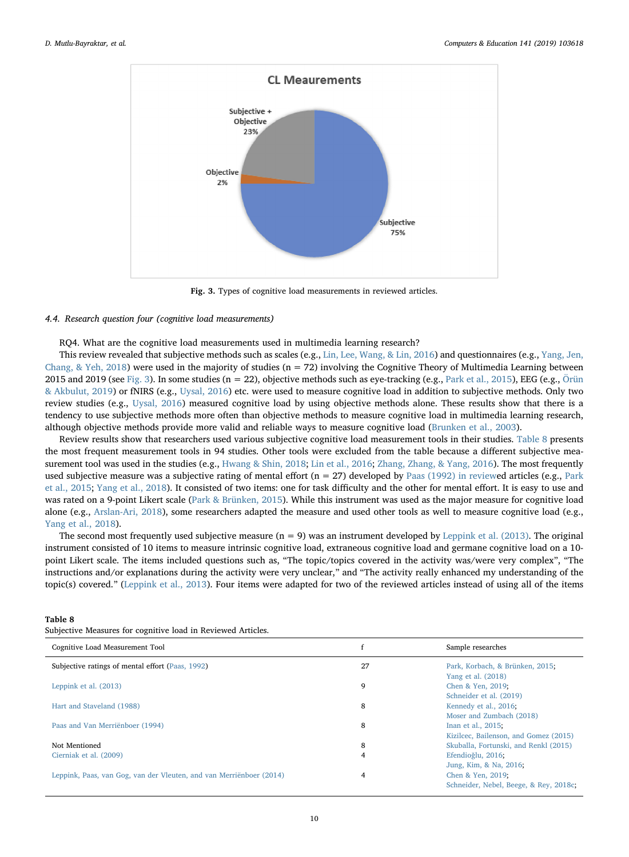<span id="page-9-0"></span>

Fig. 3. Types of cognitive load measurements in reviewed articles.

#### 4.4. Research question four (cognitive load measurements)

RQ4. What are the cognitive load measurements used in multimedia learning research?

This review revealed that subjective methods such as scales (e.g., [Lin, Lee, Wang, & Lin, 2016](#page-20-13)) and questionnaires (e.g., [Yang, Jen,](#page-21-11) Chang,  $&$  Yeh, 2018) were used in the majority of studies (n = 72) involving the Cognitive Theory of Multimedia Learning between 2015 and 2019 (see [Fig. 3\)](#page-9-0). In some studies ( $n = 22$ ), objective methods such as eye-tracking (e.g., [Park et al., 2015](#page-18-32)), EEG (e.g., [Örün](#page-20-3) [& Akbulut, 2019\)](#page-20-3) or fNIRS (e.g., [Uysal, 2016\)](#page-21-12) etc. were used to measure cognitive load in addition to subjective methods. Only two review studies (e.g., [Uysal, 2016\)](#page-21-12) measured cognitive load by using objective methods alone. These results show that there is a tendency to use subjective methods more often than objective methods to measure cognitive load in multimedia learning research, although objective methods provide more valid and reliable ways to measure cognitive load ([Brunken et al., 2003\)](#page-17-12).

Review results show that researchers used various subjective cognitive load measurement tools in their studies. [Table 8](#page-9-1) presents the most frequent measurement tools in 94 studies. Other tools were excluded from the table because a different subjective mea-surement tool was used in the studies (e.g., [Hwang & Shin, 2018](#page-20-14); [Lin et al., 2016](#page-20-13); [Zhang, Zhang, & Yang, 2016](#page-21-13)). The most frequently used subjective measure was a subjective rating of mental effort  $(n = 27)$  developed by [Paas \(1992\) in review](#page-18-33)ed articles (e.g., [Park](#page-20-2) [et al., 2015](#page-20-2); [Yang et al., 2018](#page-21-11)). It consisted of two items: one for task difficulty and the other for mental effort. It is easy to use and was rated on a 9-point Likert scale [\(Park & Brünken, 2015\)](#page-20-9). While this instrument was used as the major measure for cognitive load alone (e.g., [Arslan-Ari, 2018](#page-19-25)), some researchers adapted the measure and used other tools as well to measure cognitive load (e.g., [Yang et al., 2018](#page-21-11)).

The second most frequently used subjective measure  $(n = 9)$  was an instrument developed by [Leppink et al. \(2013\).](#page-17-16) The original instrument consisted of 10 items to measure intrinsic cognitive load, extraneous cognitive load and germane cognitive load on a 10 point Likert scale. The items included questions such as, "The topic/topics covered in the activity was/were very complex", "The instructions and/or explanations during the activity were very unclear," and "The activity really enhanced my understanding of the topic(s) covered." [\(Leppink et al., 2013](#page-17-16)). Four items were adapted for two of the reviewed articles instead of using all of the items

## <span id="page-9-1"></span>Table 8

| Subjective Measures for cognitive load in Reviewed Articles. |  |  |  |  |
|--------------------------------------------------------------|--|--|--|--|
|--------------------------------------------------------------|--|--|--|--|

| Cognitive Load Measurement Tool                                     |    | Sample researches                      |
|---------------------------------------------------------------------|----|----------------------------------------|
| Subjective ratings of mental effort (Paas, 1992)                    | 27 | Park, Korbach, & Brünken, 2015;        |
|                                                                     |    | Yang et al. (2018)                     |
| Leppink et al. (2013)                                               | 9  | Chen & Yen, 2019;                      |
|                                                                     |    | Schneider et al. (2019)                |
| Hart and Staveland (1988)                                           | 8  | Kennedy et al., 2016;                  |
|                                                                     |    | Moser and Zumbach (2018)               |
| Paas and Van Merriënboer (1994)                                     | 8  | Inan et al., 2015;                     |
|                                                                     |    | Kizilcec, Bailenson, and Gomez (2015)  |
| Not Mentioned                                                       | 8  | Skuballa, Fortunski, and Renkl (2015)  |
| Cierniak et al. (2009)                                              | 4  | Efendioğlu, 2016;                      |
|                                                                     |    | Jung, Kim, & Na, 2016;                 |
| Leppink, Paas, van Gog, van der Vleuten, and van Merriënboer (2014) |    | Chen & Yen, 2019;                      |
|                                                                     |    | Schneider, Nebel, Beege, & Rey, 2018c; |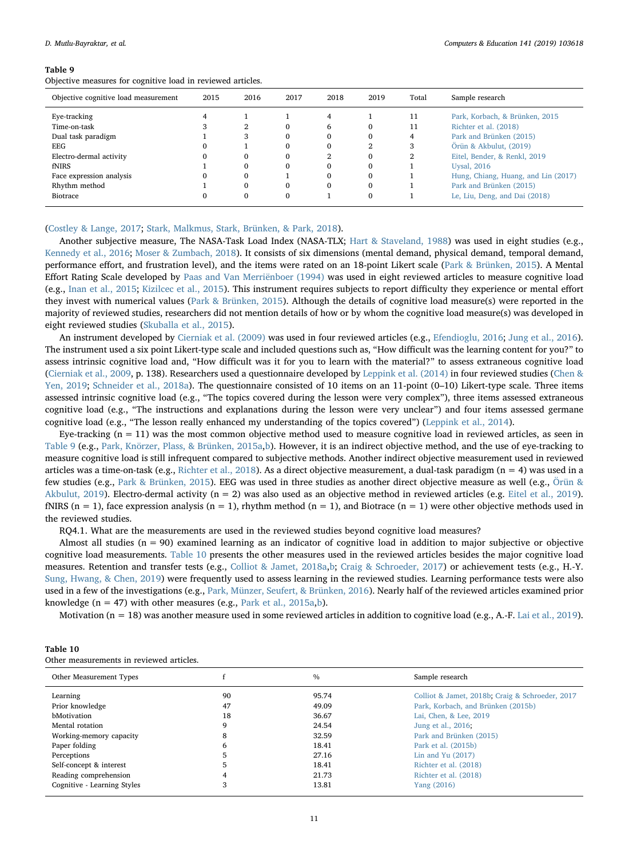#### D. Mutlu-Bayraktar, et al. *Computers & Education 141 (2019) 103618*

#### <span id="page-10-0"></span>Table 9

Objective measures for cognitive load in reviewed articles.

| Objective cognitive load measurement | 2015 | 2016 | 2017 | 2018     | 2019        | Total | Sample research                     |
|--------------------------------------|------|------|------|----------|-------------|-------|-------------------------------------|
| Eye-tracking                         |      |      |      | 4        |             | 11    | Park, Korbach, & Brünken, 2015      |
| Time-on-task                         |      |      | 0    | h        | 0           | 11    | Richter et al. (2018)               |
| Dual task paradigm                   |      | 3    | 0    |          | 0           |       | Park and Brünken (2015)             |
| <b>EEG</b>                           | 0    |      | 0    | $\Omega$ |             |       | Örün & Akbulut, (2019)              |
| Electro-dermal activity              | 0    |      | 0    |          | 0           |       | Eitel, Bender, & Renkl, 2019        |
| fNIRS                                |      |      | 0    |          |             |       | <b>Uysal</b> , 2016                 |
| Face expression analysis             | 0    |      |      |          | 0           |       | Hung, Chiang, Huang, and Lin (2017) |
| Rhythm method                        |      |      | 0    | $\Omega$ | 0           |       | Park and Brünken (2015)             |
| Biotrace                             | 0    |      | 0    |          | $\mathbf 0$ |       | Le, Liu, Deng, and Dai (2018)       |
|                                      |      |      |      |          |             |       |                                     |

#### ([Costley & Lange, 2017](#page-19-13); [Stark, Malkmus, Stark, Brünken, & Park, 2018](#page-21-15)).

Another subjective measure, The NASA-Task Load Index (NASA-TLX; [Hart & Staveland, 1988\)](#page-17-27) was used in eight studies (e.g., [Kennedy et al., 2016](#page-20-15); [Moser & Zumbach, 2018\)](#page-20-16). It consists of six dimensions (mental demand, physical demand, temporal demand, performance effort, and frustration level), and the items were rated on an 18-point Likert scale [\(Park & Brünken, 2015\)](#page-20-9). A Mental Effort Rating Scale developed by [Paas and Van Merriënboer \(1994\)](#page-18-34) was used in eight reviewed articles to measure cognitive load (e.g., [Inan et al., 2015](#page-20-7); [Kizilcec et al., 2015\)](#page-20-17). This instrument requires subjects to report difficulty they experience or mental effort they invest with numerical values [\(Park & Brünken, 2015\)](#page-20-9). Although the details of cognitive load measure(s) were reported in the majority of reviewed studies, researchers did not mention details of how or by whom the cognitive load measure(s) was developed in eight reviewed studies [\(Skuballa et al., 2015\)](#page-21-14).

An instrument developed by [Cierniak et al. \(2009\)](#page-17-15) was used in four reviewed articles (e.g., [Efendioglu, 2016;](#page-19-26) [Jung et al., 2016](#page-20-18)). The instrument used a six point Likert-type scale and included questions such as, "How difficult was the learning content for you?" to assess intrinsic cognitive load and, "How difficult was it for you to learn with the material?" to assess extraneous cognitive load ([Cierniak et al., 2009](#page-17-15), p. 138). Researchers used a questionnaire developed by [Leppink et al. \(2014\)](#page-17-28) in four reviewed studies ([Chen &](#page-19-12) [Yen, 2019](#page-19-12); [Schneider et al., 2018a](#page-21-7)). The questionnaire consisted of 10 items on an 11-point (0–10) Likert-type scale. Three items assessed intrinsic cognitive load (e.g., "The topics covered during the lesson were very complex"), three items assessed extraneous cognitive load (e.g., "The instructions and explanations during the lesson were very unclear") and four items assessed germane cognitive load (e.g., "The lesson really enhanced my understanding of the topics covered") ([Leppink et al., 2014\)](#page-17-28).

Eye-tracking  $(n = 11)$  was the most common objective method used to measure cognitive load in reviewed articles, as seen in [Table 9](#page-10-0) (e.g., [Park, Knörzer, Plass, & Brünken, 2015a](#page-18-32),[b\)](#page-20-2). However, it is an indirect objective method, and the use of eye-tracking to measure cognitive load is still infrequent compared to subjective methods. Another indirect objective measurement used in reviewed articles was a time-on-task (e.g., [Richter et al., 2018\)](#page-21-2). As a direct objective measurement, a dual-task paradigm  $(n = 4)$  was used in a few studies (e.g., [Park & Brünken, 2015\)](#page-20-9). EEG was used in three studies as another direct objective measure as well (e.g., [Örün](#page-20-3) & [Akbulut, 2019](#page-20-3)). Electro-dermal activity ( $n = 2$ ) was also used as an objective method in reviewed articles (e.g. [Eitel et al., 2019\)](#page-19-18). fNIRS ( $n = 1$ ), face expression analysis ( $n = 1$ ), rhythm method ( $n = 1$ ), and Biotrace ( $n = 1$ ) were other objective methods used in the reviewed studies.

RQ4.1. What are the measurements are used in the reviewed studies beyond cognitive load measures?

Almost all studies  $(n = 90)$  examined learning as an indicator of cognitive load in addition to major subjective or objective cognitive load measurements. [Table 10](#page-10-1) presents the other measures used in the reviewed articles besides the major cognitive load measures. Retention and transfer tests (e.g., [Colliot & Jamet, 2018a](#page-19-27)[,b;](#page-19-28) [Craig & Schroeder, 2017\)](#page-19-3) or achievement tests (e.g., H.-Y. [Sung, Hwang, & Chen, 2019](#page-21-16)) were frequently used to assess learning in the reviewed studies. Learning performance tests were also used in a few of the investigations (e.g., [Park, Münzer, Seufert, & Brünken, 2016\)](#page-20-19). Nearly half of the reviewed articles examined prior knowledge ( $n = 47$ ) with other measures (e.g., [Park et al., 2015a](#page-18-32),[b\)](#page-20-2).

Motivation (n = 18) was another measure used in some reviewed articles in addition to cognitive load (e.g., A.-F. [Lai et al., 2019\)](#page-20-20).

<span id="page-10-1"></span>

| Table 10                                 |  |  |
|------------------------------------------|--|--|
| Other measurements in reviewed articles. |  |  |

| Other Measurement Types     |    | $\%$  | Sample research                                 |  |
|-----------------------------|----|-------|-------------------------------------------------|--|
| Learning                    | 90 | 95.74 | Colliot & Jamet, 2018b; Craig & Schroeder, 2017 |  |
| Prior knowledge             | 47 | 49.09 | Park, Korbach, and Brünken (2015b)              |  |
| bMotivation                 | 18 | 36.67 | Lai, Chen, & Lee, 2019                          |  |
| Mental rotation             |    | 24.54 | Jung et al., 2016;                              |  |
| Working-memory capacity     | 8  | 32.59 | Park and Brünken (2015)                         |  |
| Paper folding               | 6  | 18.41 | Park et al. (2015b)                             |  |
| Perceptions                 |    | 27.16 | Lin and Yu $(2017)$                             |  |
| Self-concept & interest     | 5  | 18.41 | Richter et al. (2018)                           |  |
| Reading comprehension       |    | 21.73 | Richter et al. (2018)                           |  |
| Cognitive - Learning Styles |    | 13.81 | Yang (2016)                                     |  |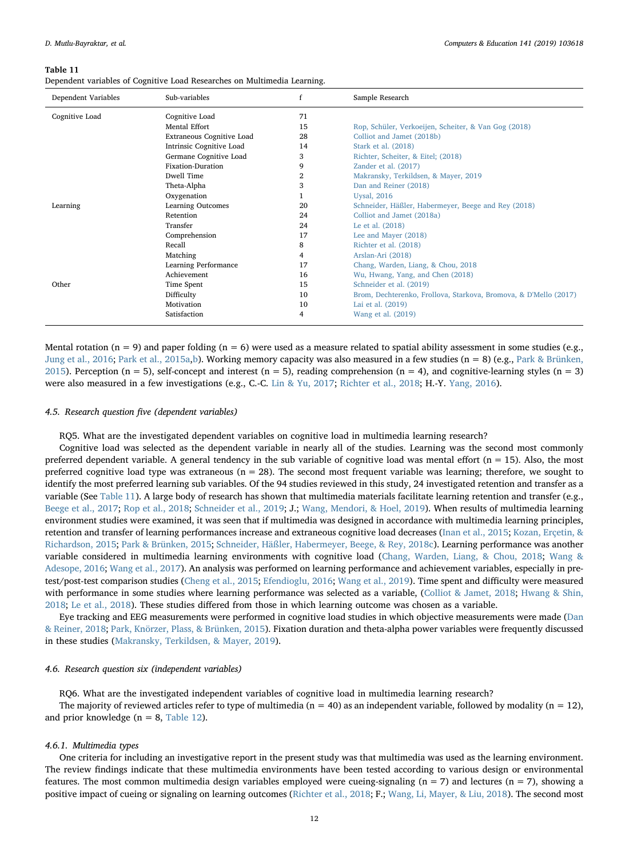<span id="page-11-0"></span>

| Dependent variables of Cognitive Load Researches on Multimedia Learning. |  |
|--------------------------------------------------------------------------|--|
|--------------------------------------------------------------------------|--|

| Dependent Variables | Sub-variables             |    | Sample Research                                                  |
|---------------------|---------------------------|----|------------------------------------------------------------------|
| Cognitive Load      | Cognitive Load            | 71 |                                                                  |
|                     | Mental Effort             | 15 | Rop, Schüler, Verkoeijen, Scheiter, & Van Gog (2018)             |
|                     | Extraneous Cognitive Load | 28 | Colliot and Jamet (2018b)                                        |
|                     | Intrinsic Cognitive Load  | 14 | Stark et al. (2018)                                              |
|                     | Germane Cognitive Load    | 3  | Richter, Scheiter, & Eitel; (2018)                               |
|                     | Fixation-Duration         | 9  | Zander et al. (2017)                                             |
|                     | Dwell Time                | 2  | Makransky, Terkildsen, & Mayer, 2019                             |
|                     | Theta-Alpha               | 3  | Dan and Reiner (2018)                                            |
|                     | Oxygenation               |    | <b>Uysal</b> , 2016                                              |
| Learning            | Learning Outcomes         | 20 | Schneider, Häßler, Habermeyer, Beege and Rey (2018)              |
|                     | Retention                 | 24 | Colliot and Jamet (2018a)                                        |
|                     | Transfer                  | 24 | Le et al. (2018)                                                 |
|                     | Comprehension             | 17 | Lee and Mayer (2018)                                             |
|                     | Recall                    | 8  | Richter et al. (2018)                                            |
|                     | Matching                  | 4  | Arslan-Ari (2018)                                                |
|                     | Learning Performance      | 17 | Chang, Warden, Liang, & Chou, 2018                               |
|                     | Achievement               | 16 | Wu, Hwang, Yang, and Chen (2018)                                 |
| Other               | Time Spent                | 15 | Schneider et al. (2019)                                          |
|                     | Difficulty                | 10 | Brom, Dechterenko, Frollova, Starkova, Bromova, & D'Mello (2017) |
|                     | Motivation                | 10 | Lai et al. (2019)                                                |
|                     | Satisfaction              | 4  | Wang et al. (2019)                                               |

Mental rotation ( $n = 9$ ) and paper folding ( $n = 6$ ) were used as a measure related to spatial ability assessment in some studies (e.g., [Jung et al., 2016](#page-20-18); [Park et al., 2015a,](#page-18-32)[b](#page-20-2)). Working memory capacity was also measured in a few studies (n = 8) (e.g., [Park & Brünken,](#page-20-9) [2015\)](#page-20-9). Perception (n = 5), self-concept and interest (n = 5), reading comprehension (n = 4), and cognitive-learning styles (n = 3) were also measured in a few investigations (e.g., C.-C. [Lin & Yu, 2017;](#page-20-23) [Richter et al., 2018;](#page-21-2) H.-Y. [Yang, 2016\)](#page-19-4).

# 4.5. Research question five (dependent variables)

RQ5. What are the investigated dependent variables on cognitive load in multimedia learning research?

Cognitive load was selected as the dependent variable in nearly all of the studies. Learning was the second most commonly preferred dependent variable. A general tendency in the sub variable of cognitive load was mental effort ( $n = 15$ ). Also, the most preferred cognitive load type was extraneous ( $n = 28$ ). The second most frequent variable was learning; therefore, we sought to identify the most preferred learning sub variables. Of the 94 studies reviewed in this study, 24 investigated retention and transfer as a variable (See [Table 11](#page-11-0)). A large body of research has shown that multimedia materials facilitate learning retention and transfer (e.g., [Beege et al., 2017](#page-19-19); [Rop et al., 2018;](#page-21-4) [Schneider et al., 2019](#page-21-5); J.; [Wang, Mendori, & Hoel, 2019\)](#page-21-17). When results of multimedia learning environment studies were examined, it was seen that if multimedia was designed in accordance with multimedia learning principles, retention and transfer of learning performances increase and extraneous cognitive load decreases [\(Inan et al., 2015](#page-20-7); [Kozan, Erçetin, &](#page-20-24) [Richardson, 2015;](#page-20-24) [Park & Brünken, 2015](#page-20-9); [Schneider, Häßler, Habermeyer, Beege, & Rey, 2018c](#page-21-9)). Learning performance was another variable considered in multimedia learning environments with cognitive load ([Chang, Warden, Liang, & Chou, 2018;](#page-19-15) [Wang &](#page-19-22) [Adesope, 2016;](#page-19-22) [Wang et al., 2017\)](#page-21-6). An analysis was performed on learning performance and achievement variables, especially in pretest/post-test comparison studies ([Cheng et al., 2015;](#page-19-5) [Efendioglu, 2016](#page-19-26); [Wang et al., 2019\)](#page-21-17). Time spent and difficulty were measured with performance in some studies where learning performance was selected as a variable, [\(Colliot & Jamet, 2018](#page-19-27); [Hwang & Shin,](#page-20-14) [2018;](#page-20-14) [Le et al., 2018](#page-20-22)). These studies differed from those in which learning outcome was chosen as a variable.

Eye tracking and EEG measurements were performed in cognitive load studies in which objective measurements were made [\(Dan](#page-19-29) [& Reiner, 2018;](#page-19-29) [Park, Knörzer, Plass, & Brünken, 2015](#page-18-32)). Fixation duration and theta-alpha power variables were frequently discussed in these studies ([Makransky, Terkildsen, & Mayer, 2019](#page-20-6)).

## 4.6. Research question six (independent variables)

RQ6. What are the investigated independent variables of cognitive load in multimedia learning research? The majority of reviewed articles refer to type of multimedia ( $n = 40$ ) as an independent variable, followed by modality ( $n = 12$ ), and prior knowledge ( $n = 8$ , [Table 12\)](#page-12-0).

## 4.6.1. Multimedia types

One criteria for including an investigative report in the present study was that multimedia was used as the learning environment. The review findings indicate that these multimedia environments have been tested according to various design or environmental features. The most common multimedia design variables employed were cueing-signaling ( $n = 7$ ) and lectures ( $n = 7$ ), showing a positive impact of cueing or signaling on learning outcomes ([Richter et al., 2018;](#page-21-2) F.; [Wang, Li, Mayer, & Liu, 2018](#page-19-30)). The second most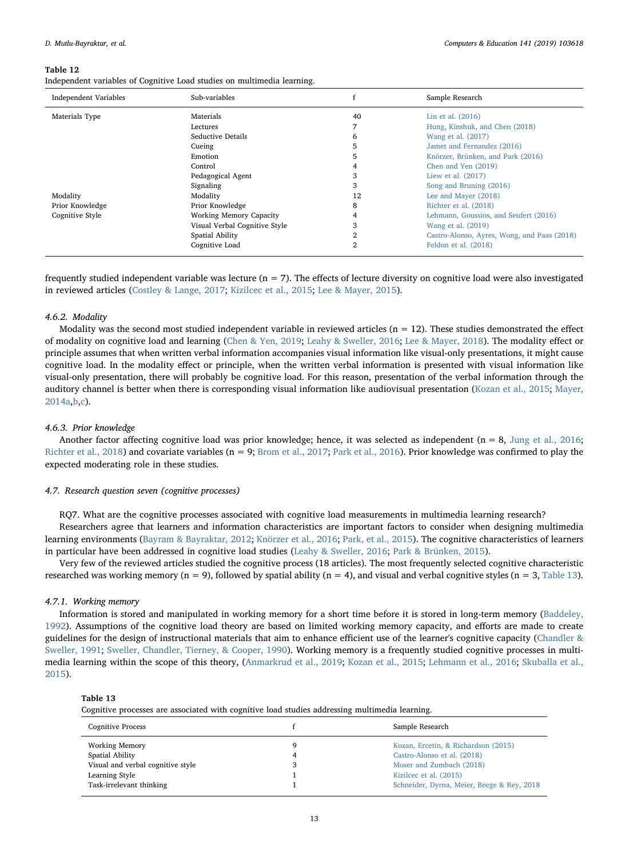<span id="page-12-0"></span>Independent variables of Cognitive Load studies on multimedia learning.

| <b>Independent Variables</b> | Sub-variables                  |    | Sample Research                             |
|------------------------------|--------------------------------|----|---------------------------------------------|
| Materials Type               | Materials                      | 40 | Lin et al. (2016)                           |
|                              | Lectures                       |    | Hung, Kinshuk, and Chen (2018)              |
|                              | Seductive Details              | 6  | Wang et al. (2017)                          |
|                              | Cueing                         | 5  | Jamet and Fernandez (2016)                  |
|                              | Emotion                        | 5  | Knörzer, Brünken, and Park (2016)           |
|                              | Control                        |    | Chen and Yen (2019)                         |
|                              | Pedagogical Agent              | 3  | Liew et al. (2017)                          |
|                              | Signaling                      | 3  | Song and Bruning (2016)                     |
| Modality                     | Modality                       | 12 | Lee and Mayer (2018)                        |
| Prior Knowledge              | Prior Knowledge                | 8  | Richter et al. (2018)                       |
| Cognitive Style              | <b>Working Memory Capacity</b> |    | Lehmann, Goussios, and Seufert (2016)       |
|                              | Visual Verbal Cognitive Style  | 3  | Wang et al. (2019)                          |
|                              | Spatial Ability                | 2  | Castro-Alonso, Ayres, Wong, and Paas (2018) |
|                              | Cognitive Load                 | 2  | Feldon et al. (2018)                        |

frequently studied independent variable was lecture  $(n = 7)$ . The effects of lecture diversity on cognitive load were also investigated in reviewed articles ([Costley & Lange, 2017;](#page-19-13) [Kizilcec et al., 2015](#page-20-17); [Lee & Mayer, 2015](#page-17-29)).

### 4.6.2. Modality

Modality was the second most studied independent variable in reviewed articles ( $n = 12$ ). These studies demonstrated the effect of modality on cognitive load and learning [\(Chen & Yen, 2019](#page-19-12); [Leahy & Sweller, 2016](#page-20-0); [Lee & Mayer, 2018\)](#page-20-25). The modality effect or principle assumes that when written verbal information accompanies visual information like visual-only presentations, it might cause cognitive load. In the modality effect or principle, when the written verbal information is presented with visual information like visual-only presentation, there will probably be cognitive load. For this reason, presentation of the verbal information through the auditory channel is better when there is corresponding visual information like audiovisual presentation [\(Kozan et al., 2015;](#page-20-24) [Mayer,](#page-18-2) [2014a](#page-18-2)[,b,](#page-18-15)[c\)](#page-18-18).

## 4.6.3. Prior knowledge

Another factor affecting cognitive load was prior knowledge; hence, it was selected as independent ( $n = 8$ , [Jung et al., 2016;](#page-20-18) [Richter et al., 2018\)](#page-21-2) and covariate variables (n = 9; [Brom et al., 2017;](#page-19-14) [Park et al., 2016](#page-20-19)). Prior knowledge was confirmed to play the expected moderating role in these studies.

## 4.7. Research question seven (cognitive processes)

RQ7. What are the cognitive processes associated with cognitive load measurements in multimedia learning research?

Researchers agree that learners and information characteristics are important factors to consider when designing multimedia learning environments ([Bayram & Bayraktar, 2012;](#page-17-30) [Knörzer et al., 2016](#page-20-26); [Park, et al., 2015](#page-20-2)). The cognitive characteristics of learners in particular have been addressed in cognitive load studies ([Leahy & Sweller, 2016](#page-20-0); [Park & Brünken, 2015\)](#page-20-9).

Very few of the reviewed articles studied the cognitive process (18 articles). The most frequently selected cognitive characteristic researched was working memory (n = 9), followed by spatial ability (n = 4), and visual and verbal cognitive styles (n = 3, [Table 13\)](#page-12-1).

#### 4.7.1. Working memory

Information is stored and manipulated in working memory for a short time before it is stored in long-term memory ([Baddeley,](#page-17-31) [1992\)](#page-17-31). Assumptions of the cognitive load theory are based on limited working memory capacity, and efforts are made to create guidelines for the design of instructional materials that aim to enhance efficient use of the learner's cognitive capacity [\(Chandler &](#page-17-32) [Sweller, 1991;](#page-17-32) [Sweller, Chandler, Tierney, & Cooper, 1990\)](#page-19-32). Working memory is a frequently studied cognitive processes in multimedia learning within the scope of this theory, ([Anmarkrud et al., 2019](#page-17-4); [Kozan et al., 2015](#page-20-24); [Lehmann et al., 2016](#page-20-27); [Skuballa et al.,](#page-21-14) [2015\)](#page-21-14).

## <span id="page-12-1"></span>Table 13

Cognitive processes are associated with cognitive load studies addressing multimedia learning.

| <b>Cognitive Process</b>          |    | Sample Research                            |
|-----------------------------------|----|--------------------------------------------|
| <b>Working Memory</b>             | a  | Kozan, Ercetin, & Richardson (2015)        |
| Spatial Ability                   | 4  | Castro-Alonso et al. (2018)                |
| Visual and verbal cognitive style | J. | Moser and Zumbach (2018)                   |
| Learning Style                    |    | Kizilcec et al. (2015)                     |
| Task-irrelevant thinking          |    | Schneider, Dyrna, Meier, Beege & Rey, 2018 |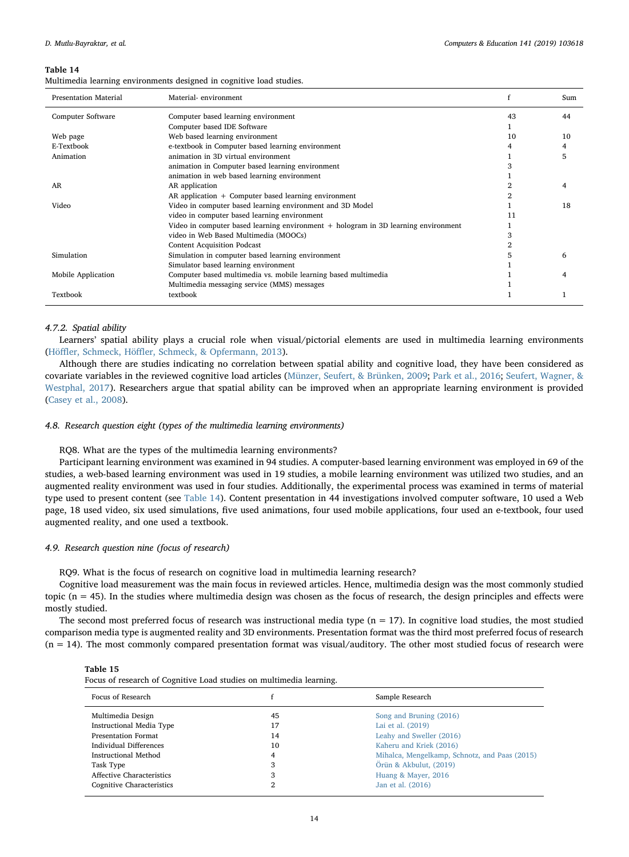<span id="page-13-0"></span>

|  | Multimedia learning environments designed in cognitive load studies. |  |  |  |
|--|----------------------------------------------------------------------|--|--|--|
|  |                                                                      |  |  |  |

| <b>Presentation Material</b> | Material-environment                                                               |    | Sum |
|------------------------------|------------------------------------------------------------------------------------|----|-----|
| Computer Software            | Computer based learning environment                                                | 43 | 44  |
|                              | Computer based IDE Software                                                        |    |     |
| Web page                     | Web based learning environment                                                     | 10 | 10  |
| E-Textbook                   | e-textbook in Computer based learning environment                                  |    |     |
| Animation                    | animation in 3D virtual environment                                                |    |     |
|                              | animation in Computer based learning environment                                   |    |     |
|                              | animation in web based learning environment                                        |    |     |
| AR                           | AR application                                                                     |    |     |
|                              | AR application + Computer based learning environment                               |    |     |
| Video                        | Video in computer based learning environment and 3D Model                          |    | 18  |
|                              | video in computer based learning environment                                       |    |     |
|                              | Video in computer based learning environment + hologram in 3D learning environment |    |     |
|                              | video in Web Based Multimedia (MOOCs)                                              |    |     |
|                              | <b>Content Acquisition Podcast</b>                                                 |    |     |
| Simulation                   | Simulation in computer based learning environment                                  |    |     |
|                              | Simulator based learning environment                                               |    |     |
| Mobile Application           | Computer based multimedia vs. mobile learning based multimedia                     |    |     |
|                              | Multimedia messaging service (MMS) messages                                        |    |     |
| Textbook                     | textbook                                                                           |    |     |

# 4.7.2. Spatial ability

Learners' spatial ability plays a crucial role when visual/pictorial elements are used in multimedia learning environments (Höffler, Schmeck, Höffl[er, Schmeck, & Opfermann, 2013](#page-17-33)).

Although there are studies indicating no correlation between spatial ability and cognitive load, they have been considered as covariate variables in the reviewed cognitive load articles ([Münzer, Seufert, & Brünken, 2009](#page-18-35); [Park et al., 2016;](#page-20-19) [Seufert, Wagner, &](#page-21-18) [Westphal, 2017](#page-21-18)). Researchers argue that spatial ability can be improved when an appropriate learning environment is provided ([Casey et al., 2008\)](#page-17-34).

## 4.8. Research question eight (types of the multimedia learning environments)

RQ8. What are the types of the multimedia learning environments?

Participant learning environment was examined in 94 studies. A computer-based learning environment was employed in 69 of the studies, a web-based learning environment was used in 19 studies, a mobile learning environment was utilized two studies, and an augmented reality environment was used in four studies. Additionally, the experimental process was examined in terms of material type used to present content (see [Table 14\)](#page-13-0). Content presentation in 44 investigations involved computer software, 10 used a Web page, 18 used video, six used simulations, five used animations, four used mobile applications, four used an e-textbook, four used augmented reality, and one used a textbook.

#### 4.9. Research question nine (focus of research)

RQ9. What is the focus of research on cognitive load in multimedia learning research?

Cognitive load measurement was the main focus in reviewed articles. Hence, multimedia design was the most commonly studied topic  $(n = 45)$ . In the studies where multimedia design was chosen as the focus of research, the design principles and effects were mostly studied.

The second most preferred focus of research was instructional media type  $(n = 17)$ . In cognitive load studies, the most studied comparison media type is augmented reality and 3D environments. Presentation format was the third most preferred focus of research (n = 14). The most commonly compared presentation format was visual/auditory. The other most studied focus of research were

<span id="page-13-1"></span>

| Focus of research of Cognitive Load studies on multimedia learning. |    |                                               |  |  |
|---------------------------------------------------------------------|----|-----------------------------------------------|--|--|
| Focus of Research                                                   |    | Sample Research                               |  |  |
| Multimedia Design                                                   | 45 | Song and Bruning (2016)                       |  |  |
| <b>Instructional Media Type</b>                                     | 17 | Lai et al. (2019)                             |  |  |
| <b>Presentation Format</b>                                          | 14 | Leahy and Sweller (2016)                      |  |  |
| <b>Individual Differences</b>                                       | 10 | Kaheru and Kriek (2016)                       |  |  |
| Instructional Method                                                | 4  | Mihalca, Mengelkamp, Schnotz, and Paas (2015) |  |  |
| Task Type                                                           | 3  | Örün & Akbulut, (2019)                        |  |  |
| Affective Characteristics                                           | 3  | Huang & Mayer, 2016                           |  |  |
| Cognitive Characteristics                                           | 2  | Jan et al. (2016)                             |  |  |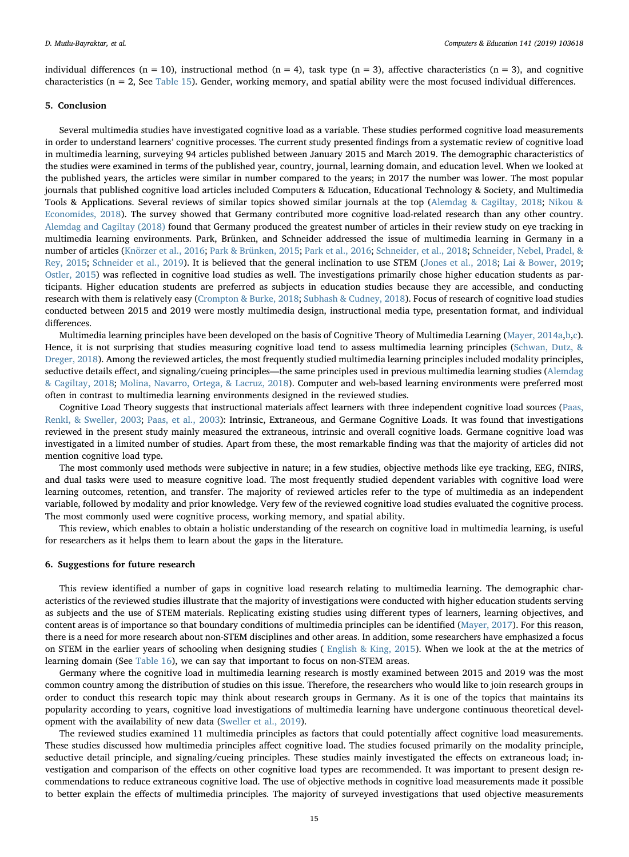individual differences (n = 10), instructional method (n = 4), task type (n = 3), affective characteristics (n = 3), and cognitive characteristics (n = 2, See [Table 15\)](#page-13-1). Gender, working memory, and spatial ability were the most focused individual differences.

### 5. Conclusion

Several multimedia studies have investigated cognitive load as a variable. These studies performed cognitive load measurements in order to understand learners' cognitive processes. The current study presented findings from a systematic review of cognitive load in multimedia learning, surveying 94 articles published between January 2015 and March 2019. The demographic characteristics of the studies were examined in terms of the published year, country, journal, learning domain, and education level. When we looked at the published years, the articles were similar in number compared to the years; in 2017 the number was lower. The most popular journals that published cognitive load articles included Computers & Education, Educational Technology & Society, and Multimedia Tools & Applications. Several reviews of similar topics showed similar journals at the top [\(Alemdag & Cagiltay, 2018](#page-17-22); [Nikou &](#page-18-36) [Economides, 2018\)](#page-18-36). The survey showed that Germany contributed more cognitive load-related research than any other country. [Alemdag and Cagiltay \(2018\)](#page-17-22) found that Germany produced the greatest number of articles in their review study on eye tracking in multimedia learning environments. Park, Brünken, and Schneider addressed the issue of multimedia learning in Germany in a number of articles ([Knörzer et al., 2016](#page-20-26); [Park & Brünken, 2015](#page-20-9); [Park et al., 2016;](#page-20-19) [Schneider, et al., 2018;](#page-21-7) [Schneider, Nebel, Pradel, &](#page-21-19) [Rey, 2015](#page-21-19); [Schneider et al., 2019\)](#page-21-5). It is believed that the general inclination to use STEM [\(Jones et al., 2018;](#page-17-35) [Lai & Bower, 2019;](#page-17-26) [Ostler, 2015](#page-18-37)) was reflected in cognitive load studies as well. The investigations primarily chose higher education students as participants. Higher education students are preferred as subjects in education studies because they are accessible, and conducting research with them is relatively easy [\(Crompton & Burke, 2018;](#page-17-36) [Subhash & Cudney, 2018\)](#page-18-38). Focus of research of cognitive load studies conducted between 2015 and 2019 were mostly multimedia design, instructional media type, presentation format, and individual differences.

Multimedia learning principles have been developed on the basis of Cognitive Theory of Multimedia Learning ([Mayer, 2014a](#page-18-2),[b](#page-18-15)[,c](#page-18-18)). Hence, it is not surprising that studies measuring cognitive load tend to assess multimedia learning principles [\(Schwan, Dutz, &](#page-18-39) [Dreger, 2018\)](#page-18-39). Among the reviewed articles, the most frequently studied multimedia learning principles included modality principles, seductive details effect, and signaling/cueing principles—the same principles used in previous multimedia learning studies [\(Alemdag](#page-17-22) [& Cagiltay, 2018;](#page-17-22) [Molina, Navarro, Ortega, & Lacruz, 2018\)](#page-18-40). Computer and web-based learning environments were preferred most often in contrast to multimedia learning environments designed in the reviewed studies.

Cognitive Load Theory suggests that instructional materials affect learners with three independent cognitive load sources [\(Paas,](#page-18-41) [Renkl, & Sweller, 2003](#page-18-41); [Paas, et al., 2003](#page-18-10)): Intrinsic, Extraneous, and Germane Cognitive Loads. It was found that investigations reviewed in the present study mainly measured the extraneous, intrinsic and overall cognitive loads. Germane cognitive load was investigated in a limited number of studies. Apart from these, the most remarkable finding was that the majority of articles did not mention cognitive load type.

The most commonly used methods were subjective in nature; in a few studies, objective methods like eye tracking, EEG, fNIRS, and dual tasks were used to measure cognitive load. The most frequently studied dependent variables with cognitive load were learning outcomes, retention, and transfer. The majority of reviewed articles refer to the type of multimedia as an independent variable, followed by modality and prior knowledge. Very few of the reviewed cognitive load studies evaluated the cognitive process. The most commonly used were cognitive process, working memory, and spatial ability.

This review, which enables to obtain a holistic understanding of the research on cognitive load in multimedia learning, is useful for researchers as it helps them to learn about the gaps in the literature.

#### 6. Suggestions for future research

This review identified a number of gaps in cognitive load research relating to multimedia learning. The demographic characteristics of the reviewed studies illustrate that the majority of investigations were conducted with higher education students serving as subjects and the use of STEM materials. Replicating existing studies using different types of learners, learning objectives, and content areas is of importance so that boundary conditions of multimedia principles can be identified [\(Mayer, 2017\)](#page-18-0). For this reason, there is a need for more research about non-STEM disciplines and other areas. In addition, some researchers have emphasized a focus on STEM in the earlier years of schooling when designing studies ( [English & King, 2015\)](#page-17-23). When we look at the at the metrics of learning domain (See [Table 16\)](#page-15-0), we can say that important to focus on non-STEM areas.

Germany where the cognitive load in multimedia learning research is mostly examined between 2015 and 2019 was the most common country among the distribution of studies on this issue. Therefore, the researchers who would like to join research groups in order to conduct this research topic may think about research groups in Germany. As it is one of the topics that maintains its popularity according to years, cognitive load investigations of multimedia learning have undergone continuous theoretical development with the availability of new data [\(Sweller et al., 2019\)](#page-19-8).

The reviewed studies examined 11 multimedia principles as factors that could potentially affect cognitive load measurements. These studies discussed how multimedia principles affect cognitive load. The studies focused primarily on the modality principle, seductive detail principle, and signaling/cueing principles. These studies mainly investigated the effects on extraneous load; investigation and comparison of the effects on other cognitive load types are recommended. It was important to present design recommendations to reduce extraneous cognitive load. The use of objective methods in cognitive load measurements made it possible to better explain the effects of multimedia principles. The majority of surveyed investigations that used objective measurements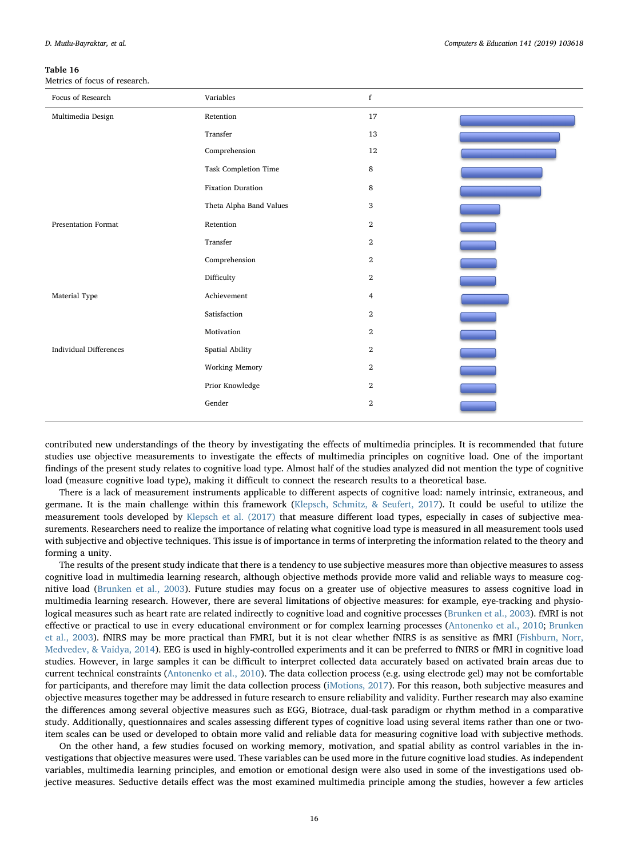<span id="page-15-0"></span>Metrics of focus of research.

| Focus of Research             | Variables                | $\mathbf f$    |  |
|-------------------------------|--------------------------|----------------|--|
| Multimedia Design             | Retention                | 17             |  |
|                               | Transfer                 | 13             |  |
|                               | Comprehension            | 12             |  |
|                               | Task Completion Time     | 8              |  |
|                               | <b>Fixation Duration</b> | 8              |  |
|                               | Theta Alpha Band Values  | 3              |  |
| <b>Presentation Format</b>    | Retention                | $\mathbf{2}$   |  |
|                               | Transfer                 | $\mathbf{2}$   |  |
|                               | Comprehension            | $\mathbf{2}$   |  |
|                               | Difficulty               | $\mathbf{2}$   |  |
| Material Type                 | Achievement              | $\overline{4}$ |  |
|                               | Satisfaction             | $\mathbf{2}$   |  |
|                               | Motivation               | $\mathbf{2}$   |  |
| <b>Individual Differences</b> | Spatial Ability          | $\,2$          |  |
|                               | Working Memory           | $\,2$          |  |
|                               | Prior Knowledge          | $\mathbf{2}$   |  |
|                               | Gender                   | $\mathbf{2}$   |  |
|                               |                          |                |  |

contributed new understandings of the theory by investigating the effects of multimedia principles. It is recommended that future studies use objective measurements to investigate the effects of multimedia principles on cognitive load. One of the important findings of the present study relates to cognitive load type. Almost half of the studies analyzed did not mention the type of cognitive load (measure cognitive load type), making it difficult to connect the research results to a theoretical base.

There is a lack of measurement instruments applicable to different aspects of cognitive load: namely intrinsic, extraneous, and germane. It is the main challenge within this framework [\(Klepsch, Schmitz, & Seufert, 2017](#page-17-37)). It could be useful to utilize the measurement tools developed by [Klepsch et al. \(2017\)](#page-17-37) that measure different load types, especially in cases of subjective measurements. Researchers need to realize the importance of relating what cognitive load type is measured in all measurement tools used with subjective and objective techniques. This issue is of importance in terms of interpreting the information related to the theory and forming a unity.

The results of the present study indicate that there is a tendency to use subjective measures more than objective measures to assess cognitive load in multimedia learning research, although objective methods provide more valid and reliable ways to measure cognitive load [\(Brunken et al., 2003\)](#page-17-12). Future studies may focus on a greater use of objective measures to assess cognitive load in multimedia learning research. However, there are several limitations of objective measures: for example, eye-tracking and physiological measures such as heart rate are related indirectly to cognitive load and cognitive processes ([Brunken et al., 2003](#page-17-12)). fMRI is not effective or practical to use in every educational environment or for complex learning processes [\(Antonenko et al., 2010;](#page-17-18) [Brunken](#page-17-12) [et al., 2003\)](#page-17-12). fNIRS may be more practical than FMRI, but it is not clear whether fNIRS is as sensitive as fMRI [\(Fishburn, Norr,](#page-17-38) [Medvedev, & Vaidya, 2014](#page-17-38)). EEG is used in highly-controlled experiments and it can be preferred to fNIRS or fMRI in cognitive load studies. However, in large samples it can be difficult to interpret collected data accurately based on activated brain areas due to current technical constraints ([Antonenko et al., 2010\)](#page-17-18). The data collection process (e.g. using electrode gel) may not be comfortable for participants, and therefore may limit the data collection process [\(iMotions, 2017\)](#page-17-39). For this reason, both subjective measures and objective measures together may be addressed in future research to ensure reliability and validity. Further research may also examine the differences among several objective measures such as EGG, Biotrace, dual-task paradigm or rhythm method in a comparative study. Additionally, questionnaires and scales assessing different types of cognitive load using several items rather than one or twoitem scales can be used or developed to obtain more valid and reliable data for measuring cognitive load with subjective methods.

On the other hand, a few studies focused on working memory, motivation, and spatial ability as control variables in the investigations that objective measures were used. These variables can be used more in the future cognitive load studies. As independent variables, multimedia learning principles, and emotion or emotional design were also used in some of the investigations used objective measures. Seductive details effect was the most examined multimedia principle among the studies, however a few articles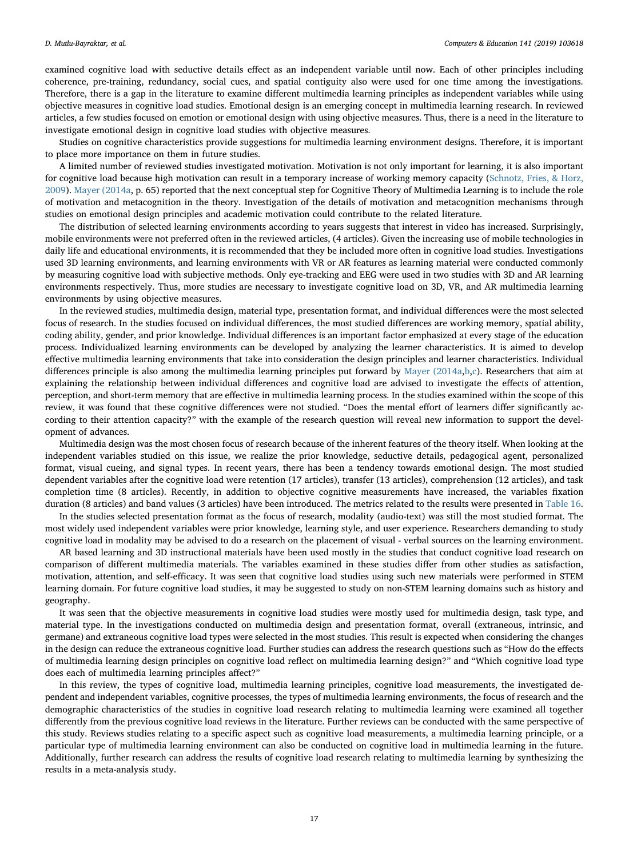examined cognitive load with seductive details effect as an independent variable until now. Each of other principles including coherence, pre-training, redundancy, social cues, and spatial contiguity also were used for one time among the investigations. Therefore, there is a gap in the literature to examine different multimedia learning principles as independent variables while using objective measures in cognitive load studies. Emotional design is an emerging concept in multimedia learning research. In reviewed articles, a few studies focused on emotion or emotional design with using objective measures. Thus, there is a need in the literature to investigate emotional design in cognitive load studies with objective measures.

Studies on cognitive characteristics provide suggestions for multimedia learning environment designs. Therefore, it is important to place more importance on them in future studies.

A limited number of reviewed studies investigated motivation. Motivation is not only important for learning, it is also important for cognitive load because high motivation can result in a temporary increase of working memory capacity ([Schnotz, Fries, & Horz,](#page-18-42) [2009\)](#page-18-42). [Mayer \(2014a](#page-18-2), p. 65) reported that the next conceptual step for Cognitive Theory of Multimedia Learning is to include the role of motivation and metacognition in the theory. Investigation of the details of motivation and metacognition mechanisms through studies on emotional design principles and academic motivation could contribute to the related literature.

The distribution of selected learning environments according to years suggests that interest in video has increased. Surprisingly, mobile environments were not preferred often in the reviewed articles, (4 articles). Given the increasing use of mobile technologies in daily life and educational environments, it is recommended that they be included more often in cognitive load studies. Investigations used 3D learning environments, and learning environments with VR or AR features as learning material were conducted commonly by measuring cognitive load with subjective methods. Only eye-tracking and EEG were used in two studies with 3D and AR learning environments respectively. Thus, more studies are necessary to investigate cognitive load on 3D, VR, and AR multimedia learning environments by using objective measures.

In the reviewed studies, multimedia design, material type, presentation format, and individual differences were the most selected focus of research. In the studies focused on individual differences, the most studied differences are working memory, spatial ability, coding ability, gender, and prior knowledge. Individual differences is an important factor emphasized at every stage of the education process. Individualized learning environments can be developed by analyzing the learner characteristics. It is aimed to develop effective multimedia learning environments that take into consideration the design principles and learner characteristics. Individual differences principle is also among the multimedia learning principles put forward by [Mayer \(2014a](#page-18-2)[,b,](#page-18-15)[c\)](#page-18-18). Researchers that aim at explaining the relationship between individual differences and cognitive load are advised to investigate the effects of attention, perception, and short-term memory that are effective in multimedia learning process. In the studies examined within the scope of this review, it was found that these cognitive differences were not studied. "Does the mental effort of learners differ significantly according to their attention capacity?" with the example of the research question will reveal new information to support the development of advances.

Multimedia design was the most chosen focus of research because of the inherent features of the theory itself. When looking at the independent variables studied on this issue, we realize the prior knowledge, seductive details, pedagogical agent, personalized format, visual cueing, and signal types. In recent years, there has been a tendency towards emotional design. The most studied dependent variables after the cognitive load were retention (17 articles), transfer (13 articles), comprehension (12 articles), and task completion time (8 articles). Recently, in addition to objective cognitive measurements have increased, the variables fixation duration (8 articles) and band values (3 articles) have been introduced. The metrics related to the results were presented in [Table 16.](#page-15-0)

In the studies selected presentation format as the focus of research, modality (audio-text) was still the most studied format. The most widely used independent variables were prior knowledge, learning style, and user experience. Researchers demanding to study cognitive load in modality may be advised to do a research on the placement of visual - verbal sources on the learning environment.

AR based learning and 3D instructional materials have been used mostly in the studies that conduct cognitive load research on comparison of different multimedia materials. The variables examined in these studies differ from other studies as satisfaction, motivation, attention, and self-efficacy. It was seen that cognitive load studies using such new materials were performed in STEM learning domain. For future cognitive load studies, it may be suggested to study on non-STEM learning domains such as history and geography.

It was seen that the objective measurements in cognitive load studies were mostly used for multimedia design, task type, and material type. In the investigations conducted on multimedia design and presentation format, overall (extraneous, intrinsic, and germane) and extraneous cognitive load types were selected in the most studies. This result is expected when considering the changes in the design can reduce the extraneous cognitive load. Further studies can address the research questions such as "How do the effects of multimedia learning design principles on cognitive load reflect on multimedia learning design?" and "Which cognitive load type does each of multimedia learning principles affect?"

In this review, the types of cognitive load, multimedia learning principles, cognitive load measurements, the investigated dependent and independent variables, cognitive processes, the types of multimedia learning environments, the focus of research and the demographic characteristics of the studies in cognitive load research relating to multimedia learning were examined all together differently from the previous cognitive load reviews in the literature. Further reviews can be conducted with the same perspective of this study. Reviews studies relating to a specific aspect such as cognitive load measurements, a multimedia learning principle, or a particular type of multimedia learning environment can also be conducted on cognitive load in multimedia learning in the future. Additionally, further research can address the results of cognitive load research relating to multimedia learning by synthesizing the results in a meta-analysis study.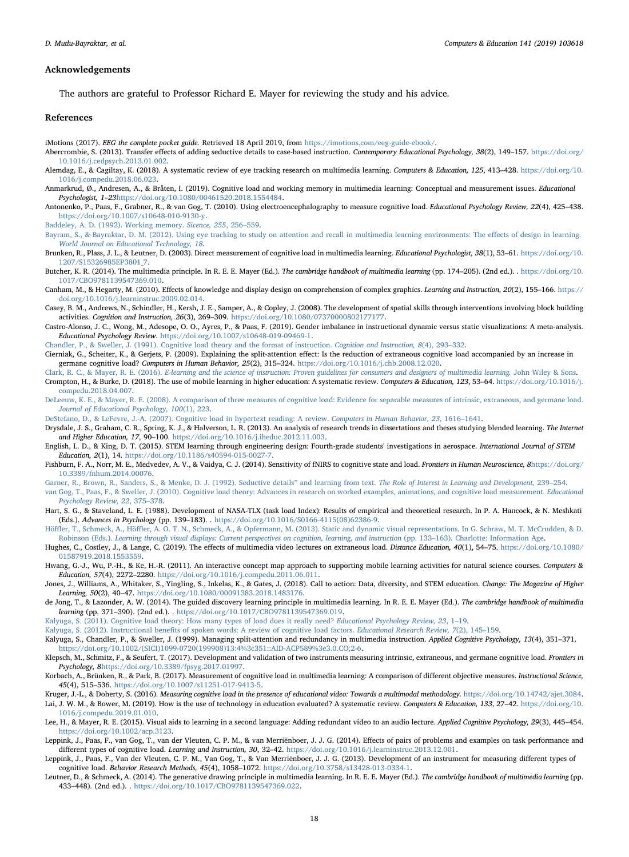## Acknowledgements

The authors are grateful to Professor Richard E. Mayer for reviewing the study and his advice.

#### References

- <span id="page-17-39"></span>iMotions (2017). EEG the complete pocket guide. Retrieved 18 April 2019, from [https://imotions.com/eeg-guide-ebook/.](https://imotions.com/eeg-guide-ebook/)
- <span id="page-17-21"></span>Abercrombie, S. (2013). Transfer effects of adding seductive details to case-based instruction. Contemporary Educational Psychology, 38(2), 149-157. [https://doi.org/](https://doi.org/10.1016/j.cedpsych.2013.01.002) [10.1016/j.cedpsych.2013.01.002.](https://doi.org/10.1016/j.cedpsych.2013.01.002)
- <span id="page-17-22"></span>Alemdag, E., & Cagiltay, K. (2018). A systematic review of eye tracking research on multimedia learning. Computers & Education, 125, 413–428. [https://doi.org/10.](https://doi.org/10.1016/j.compedu.2018.06.023) [1016/j.compedu.2018.06.023](https://doi.org/10.1016/j.compedu.2018.06.023).
- <span id="page-17-4"></span>Anmarkrud, Ø., Andresen, A., & Bråten, I. (2019). Cognitive load and working memory in multimedia learning: Conceptual and measurement issues. Educational Psychologist, 1–23<https://doi.org/10.1080/00461520.2018.1554484>.
- <span id="page-17-18"></span>Antonenko, P., Paas, F., Grabner, R., & van Gog, T. (2010). Using electroencephalography to measure cognitive load. Educational Psychology Review, 22(4), 425–438. [https://doi.org/10.1007/s10648-010-9130-y.](https://doi.org/10.1007/s10648-010-9130-y)

<span id="page-17-31"></span>[Baddeley, A. D. \(1992\). Working memory.](http://refhub.elsevier.com/S0360-1315(19)30171-X/sref10) Sicence, 255, 256–559.

- <span id="page-17-30"></span>[Bayram, S., & Bayraktar, D. M. \(2012\). Using eye tracking to study on attention and recall in multimedia learning environments: The e](http://refhub.elsevier.com/S0360-1315(19)30171-X/sref11)ffects of design in learning. [World Journal on Educational Technology, 18](http://refhub.elsevier.com/S0360-1315(19)30171-X/sref11).
- <span id="page-17-12"></span>Brunken, R., Plass, J. L., & Leutner, D. (2003). Direct measurement of cognitive load in multimedia learning. Educational Psychologist, 38(1), 53-61. [https://doi.org/10.](https://doi.org/10.1207/S15326985EP3801_7) [1207/S15326985EP3801\\_7.](https://doi.org/10.1207/S15326985EP3801_7)
- <span id="page-17-1"></span>Butcher, K. R. (2014). The multimedia principle. In R. E. E. Mayer (Ed.). The cambridge handbook of multimedia learning (pp. 174–205). (2nd ed.). . [https://doi.org/10.](https://doi.org/10.1017/CBO9781139547369.010) [1017/CBO9781139547369.010](https://doi.org/10.1017/CBO9781139547369.010).
- <span id="page-17-9"></span>Canham, M., & Hegarty, M. (2010). Effects of knowledge and display design on comprehension of complex graphics. Learning and Instruction, 20(2), 155–166. [https://](https://doi.org/10.1016/j.learninstruc.2009.02.014) [doi.org/10.1016/j.learninstruc.2009.02.014.](https://doi.org/10.1016/j.learninstruc.2009.02.014)
- <span id="page-17-34"></span>Casey, B. M., Andrews, N., Schindler, H., Kersh, J. E., Samper, A., & Copley, J. (2008). The development of spatial skills through interventions involving block building activities. Cognition and Instruction, 26(3), 269–309. [https://doi.org/10.1080/07370000802177177.](https://doi.org/10.1080/07370000802177177)
- <span id="page-17-2"></span>Castro-Alonso, J. C., Wong, M., Adesope, O. O., Ayres, P., & Paas, F. (2019). Gender imbalance in instructional dynamic versus static visualizations: A meta-analysis. Educational Psychology Review. [https://doi.org/10.1007/s10648-019-09469-1.](https://doi.org/10.1007/s10648-019-09469-1)
- <span id="page-17-32"></span>[Chandler, P., & Sweller, J. \(1991\). Cognitive load theory and the format of instruction.](http://refhub.elsevier.com/S0360-1315(19)30171-X/sref20) Cognition and Instruction, 8(4), 293–332.
- <span id="page-17-15"></span>Cierniak, G., Scheiter, K., & Gerjets, P. (2009). Explaining the split-attention effect: Is the reduction of extraneous cognitive load accompanied by an increase in germane cognitive load? Computers in Human Behavior, 25(2), 315–324. [https://doi.org/10.1016/j.chb.2008.12.020.](https://doi.org/10.1016/j.chb.2008.12.020)
- <span id="page-17-36"></span><span id="page-17-0"></span>Clark, R. C., & Mayer, R. E. (2016). [E-learning and the science of instruction: Proven guidelines for consumers and designers of multimedia learning.](http://refhub.elsevier.com/S0360-1315(19)30171-X/sref28) John Wiley & Sons. Crompton, H., & Burke, D. (2018). The use of mobile learning in higher education: A systematic review. Computers & Education, 123, 53–64. [https://doi.org/10.1016/j.](https://doi.org/10.1016/j.compedu.2018.04.007) [compedu.2018.04.007](https://doi.org/10.1016/j.compedu.2018.04.007).
- <span id="page-17-13"></span>[DeLeeuw, K. E., & Mayer, R. E. \(2008\). A comparison of three measures of cognitive load: Evidence for separable measures of intrinsic, extraneous, and germane load.](http://refhub.elsevier.com/S0360-1315(19)30171-X/sref35) [Journal of Educational Psychology, 100](http://refhub.elsevier.com/S0360-1315(19)30171-X/sref35)(1), 223.
- <span id="page-17-5"></span>[DeStefano, D., & LeFevre, J.-A. \(2007\). Cognitive load in hypertext reading: A review.](http://refhub.elsevier.com/S0360-1315(19)30171-X/sref37) Computers in Human Behavior, 23, 1616–1641.
- <span id="page-17-24"></span>Drysdale, J. S., Graham, C. R., Spring, K. J., & Halverson, L. R. (2013). An analysis of research trends in dissertations and theses studying blended learning. The Internet and Higher Education, 17, 90–100. <https://doi.org/10.1016/j.iheduc.2012.11.003>.
- <span id="page-17-23"></span>English, L. D., & King, D. T. (2015). STEM learning through engineering design: Fourth-grade students' investigations in aerospace. International Journal of STEM Education, 2(1), 14. <https://doi.org/10.1186/s40594-015-0027-7>.
- <span id="page-17-38"></span>Fishburn, F. A., Norr, M. E., Medvedev, A. V., & Vaidya, C. J. (2014). Sensitivity of fNIRS to cognitive state and load. Frontiers in Human Neuroscience, 8[https://doi.org/](https://doi.org/10.3389/fnhum.2014.00076) [10.3389/fnhum.2014.00076.](https://doi.org/10.3389/fnhum.2014.00076)
- <span id="page-17-20"></span>[Garner, R., Brown, R., Sanders, S., & Menke, D. J. \(1992\). Seductive details](http://refhub.elsevier.com/S0360-1315(19)30171-X/sref44)" and learning from text. The Role of Interest in Learning and Development, 239-254.
- <span id="page-17-8"></span>[van Gog, T., Paas, F., & Sweller, J. \(2010\). Cognitive load theory: Advances in research on worked examples, animations, and cognitive load measurement.](http://refhub.elsevier.com/S0360-1315(19)30171-X/sref45) Educational [Psychology Review, 22](http://refhub.elsevier.com/S0360-1315(19)30171-X/sref45), 375–378.
- <span id="page-17-27"></span>Hart, S. G., & Staveland, L. E. (1988). Development of NASA-TLX (task load Index): Results of empirical and theoretical research. In P. A. Hancock, & N. Meshkati (Eds.). Advances in Psychology (pp. 139–183). . [https://doi.org/10.1016/S0166-4115\(08\)62386-9](https://doi.org/10.1016/S0166-4115(08)62386-9).
- <span id="page-17-33"></span>Höffler, T., Schmeck, A., Höffl[er, A. O. T. N., Schmeck, A., & Opfermann, M. \(2013\). Static and dynamic visual representations. In G. Schraw, M. T. McCrudden, & D.](http://refhub.elsevier.com/S0360-1315(19)30171-X/sref50) Robinson (Eds.). [Learning through visual displays: Current perspectives on cognition, learning, and instruction](http://refhub.elsevier.com/S0360-1315(19)30171-X/sref50) (pp. 133–163). Charlotte: Information Age.
- <span id="page-17-19"></span>Hughes, C., Costley, J., & Lange, C. (2019). The effects of multimedia video lectures on extraneous load. Distance Education, 40(1), 54–75. [https://doi.org/10.1080/](https://doi.org/10.1080/01587919.2018.1553559) [01587919.2018.1553559.](https://doi.org/10.1080/01587919.2018.1553559)
- <span id="page-17-25"></span>Hwang, G.-J., Wu, P.-H., & Ke, H.-R. (2011). An interactive concept map approach to supporting mobile learning activities for natural science courses. Computers & Education, 57(4), 2272–2280. <https://doi.org/10.1016/j.compedu.2011.06.011>.
- <span id="page-17-35"></span>Jones, J., Williams, A., Whitaker, S., Yingling, S., Inkelas, K., & Gates, J. (2018). Call to action: Data, diversity, and STEM education. Change: The Magazine of Higher Learning, 50(2), 40–47. <https://doi.org/10.1080/00091383.2018.1483176>.
- <span id="page-17-10"></span>de Jong, T., & Lazonder, A. W. (2014). The guided discovery learning principle in multimedia learning. In R. E. E. Mayer (Ed.). The cambridge handbook of multimedia learning (pp. 371–390). (2nd ed.). . [https://doi.org/10.1017/CBO9781139547369.019.](https://doi.org/10.1017/CBO9781139547369.019)
- <span id="page-17-6"></span>[Kalyuga, S. \(2011\). Cognitive load theory: How many types of load does it really need?](http://refhub.elsevier.com/S0360-1315(19)30171-X/sref67) Educational Psychology Review, 23, 1–19.
- <span id="page-17-7"></span>Kalyuga, S. (2012). Instructional benefi[ts of spoken words: A review of cognitive load factors.](http://refhub.elsevier.com/S0360-1315(19)30171-X/sref68) Educational Research Review, 7(2), 145–159.
- <span id="page-17-14"></span>Kalyuga, S., Chandler, P., & Sweller, J. (1999). Managing split-attention and redundancy in multimedia instruction. Applied Cognitive Psychology, 13(4), 351-371. [https://doi.org/10.1002/\(SICI\)1099-0720\(199908\)13:4%3c351::AID-ACP589%3e3.0.CO;2-6](https://doi.org/10.1002/(SICI)1099-0720(199908)13:4%3c351::AID-ACP589%3e3.0.CO;2-6).
- <span id="page-17-37"></span>Klepsch, M., Schmitz, F., & Seufert, T. (2017). Development and validation of two instruments measuring intrinsic, extraneous, and germane cognitive load. Frontiers in Psychology, 8<https://doi.org/10.3389/fpsyg.2017.01997>.
- <span id="page-17-3"></span>Korbach, A., Brünken, R., & Park, B. (2017). Measurement of cognitive load in multimedia learning: A comparison of different objective measures. Instructional Science, 45(4), 515–536. <https://doi.org/10.1007/s11251-017-9413-5>.
- <span id="page-17-26"></span><span id="page-17-17"></span>Kruger, J.-L., & Doherty, S. (2016). Measuring cognitive load in the presence of educational video: Towards a multimodal methodology. <https://doi.org/10.14742/ajet.3084>. Lai, J. W. M., & Bower, M. (2019). How is the use of technology in education evaluated? A systematic review. Computers & Education, 133, 27-42. [https://doi.org/10.](https://doi.org/10.1016/j.compedu.2019.01.010) [1016/j.compedu.2019.01.010](https://doi.org/10.1016/j.compedu.2019.01.010).
- <span id="page-17-29"></span>Lee, H., & Mayer, R. E. (2015). Visual aids to learning in a second language: Adding redundant video to an audio lecture. Applied Cognitive Psychology, 29(3), 445-454. [https://doi.org/10.1002/acp.3123.](https://doi.org/10.1002/acp.3123)
- <span id="page-17-28"></span>Leppink, J., Paas, F., van Gog, T., van der Vleuten, C. P. M., & van Merriënboer, J. J. G. (2014). Effects of pairs of problems and examples on task performance and different types of cognitive load. Learning and Instruction, 30, 32–42. [https://doi.org/10.1016/j.learninstruc.2013.12.001.](https://doi.org/10.1016/j.learninstruc.2013.12.001)
- <span id="page-17-16"></span>Leppink, J., Paas, F., Van der Vleuten, C. P. M., Van Gog, T., & Van Merriënboer, J. J. G. (2013). Development of an instrument for measuring different types of cognitive load. Behavior Research Methods, 45(4), 1058–1072. <https://doi.org/10.3758/s13428-013-0334-1>.
- <span id="page-17-11"></span>Leutner, D., & Schmeck, A. (2014). The generative drawing principle in multimedia learning. In R. E. E. Mayer (Ed.). The cambridge handbook of multimedia learning (pp. 433–448). (2nd ed.). . [https://doi.org/10.1017/CBO9781139547369.022.](https://doi.org/10.1017/CBO9781139547369.022)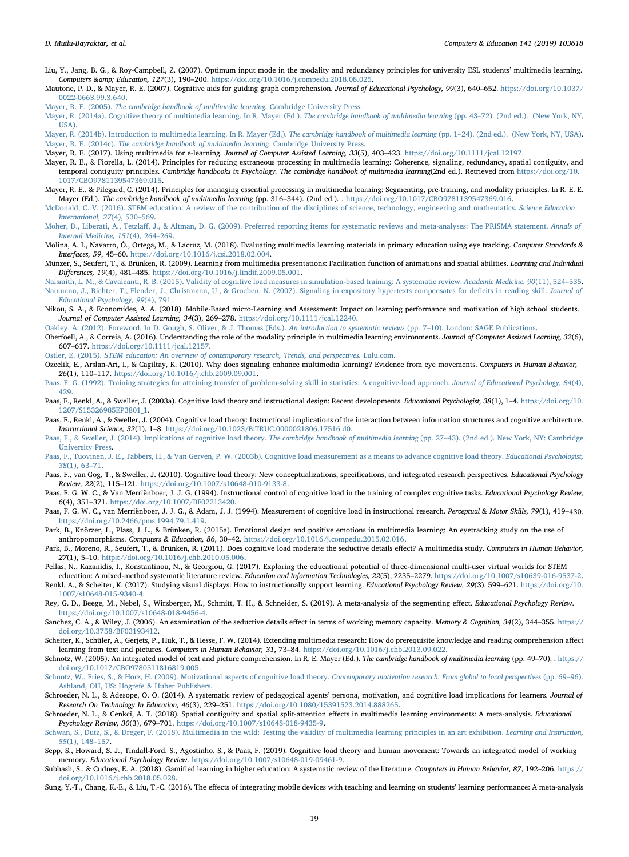- <span id="page-18-1"></span>Liu, Y., Jang, B. G., & Roy-Campbell, Z. (2007). Optimum input mode in the modality and redundancy principles for university ESL students' multimedia learning. Computers & amp; Education, 127(3), 190-200. [https://doi.org/10.1016/j.compedu.2018.08.025.](https://doi.org/10.1016/j.compedu.2018.08.025)
- <span id="page-18-25"></span>Mautone, P. D., & Mayer, R. E. (2007). Cognitive aids for guiding graph comprehension. Journal of Educational Psychology, 99(3), 640–652. [https://doi.org/10.1037/](https://doi.org/10.1037/0022-0663.99.3.640) [0022-0663.99.3.640.](https://doi.org/10.1037/0022-0663.99.3.640)
- <span id="page-18-6"></span>Mayer, R. E. (2005). [The cambridge handbook of multimedia learning.](http://refhub.elsevier.com/S0360-1315(19)30171-X/sref95) Cambridge University Press.
- <span id="page-18-2"></span>[Mayer, R. \(2014a\). Cognitive theory of multimedia learning. In R. Mayer \(Ed.\).](http://refhub.elsevier.com/S0360-1315(19)30171-X/sref96) The cambridge handbook of multimedia learning (pp. 43–72). (2nd ed.). (New York, NY, [USA\)](http://refhub.elsevier.com/S0360-1315(19)30171-X/sref96).
- <span id="page-18-18"></span><span id="page-18-15"></span>[Mayer, R. \(2014b\). Introduction to multimedia learning. In R. Mayer \(Ed.\).](http://refhub.elsevier.com/S0360-1315(19)30171-X/sref97) The cambridge handbook of multimedia learning (pp. 1–24). (2nd ed.). (New York, NY, USA). Mayer, R. E. (2014c). [The cambridge handbook of multimedia learning.](http://refhub.elsevier.com/S0360-1315(19)30171-X/sref98) Cambridge University Press.

<span id="page-18-0"></span>Mayer, R. E. (2017). Using multimedia for e‐learning. Journal of Computer Assisted Learning, 33(5), 403–423. [https://doi.org/10.1111/jcal.12197.](https://doi.org/10.1111/jcal.12197)

- <span id="page-18-16"></span>Mayer, R. E., & Fiorella, L. (2014). Principles for reducing extraneous processing in multimedia learning: Coherence, signaling, redundancy, spatial contiguity, and temporal contiguity principles. Cambridge handbooks in Psychology. The cambridge handbook of multimedia learning(2nd ed.). Retrieved from [https://doi.org/10.](https://doi.org/10.1017/CBO9781139547369.015) [1017/CBO9781139547369.015](https://doi.org/10.1017/CBO9781139547369.015).
- <span id="page-18-17"></span>Mayer, R. E., & Pilegard, C. (2014). Principles for managing essential processing in multimedia learning: Segmenting, pre-training, and modality principles. In R. E. E. Mayer (Ed.). The cambridge handbook of multimedia learning (pp. 316-344). (2nd ed.). . <https://doi.org/10.1017/CBO9781139547369.016>.
- <span id="page-18-28"></span>[McDonald, C. V. \(2016\). STEM education: A review of the contribution of the disciplines of science, technology, engineering and mathematics.](http://refhub.elsevier.com/S0360-1315(19)30171-X/sref102) Science Education [International, 27](http://refhub.elsevier.com/S0360-1315(19)30171-X/sref102)(4), 530–569.
- <span id="page-18-30"></span>Moher, D., Liberati, A., Tetzlaff[, J., & Altman, D. G. \(2009\). Preferred reporting items for systematic reviews and meta-analyses: The PRISMA statement.](http://refhub.elsevier.com/S0360-1315(19)30171-X/sref104) Annals of [Internal Medicine, 151](http://refhub.elsevier.com/S0360-1315(19)30171-X/sref104)(4), 264–269.
- <span id="page-18-40"></span>Molina, A. I., Navarro, Ó., Ortega, M., & Lacruz, M. (2018). Evaluating multimedia learning materials in primary education using eye tracking. Computer Standards & Interfaces, 59, 45–60. [https://doi.org/10.1016/j.csi.2018.02.004.](https://doi.org/10.1016/j.csi.2018.02.004)
- <span id="page-18-35"></span>Münzer, S., Seufert, T., & Brünken, R. (2009). Learning from multimedia presentations: Facilitation function of animations and spatial abilities. Learning and Individual Differences, 19(4), 481–485. <https://doi.org/10.1016/j.lindif.2009.05.001>.
- <span id="page-18-26"></span><span id="page-18-12"></span>[Naismith, L. M., & Cavalcanti, R. B. \(2015\). Validity of cognitive load measures in simulation-based training: A systematic review.](http://refhub.elsevier.com/S0360-1315(19)30171-X/sref108) Academic Medicine, 90(11), 524-535. Naumann, [J., Richter, T., Flender, J., Christmann, U., & Groeben, N. \(2007\). Signaling in expository hypertexts compensates for de](http://refhub.elsevier.com/S0360-1315(19)30171-X/sref109)ficits in reading skill. Journal of [Educational Psychology, 99](http://refhub.elsevier.com/S0360-1315(19)30171-X/sref109)(4), 791.
- <span id="page-18-36"></span>Nikou, S. A., & Economides, A. A. (2018). Mobile-Based micro-Learning and Assessment: Impact on learning performance and motivation of high school students. Journal of Computer Assisted Learning, 34(3), 269–278. <https://doi.org/10.1111/jcal.12240>.
- <span id="page-18-20"></span>[Oakley, A. \(2012\). Foreword. In D. Gough, S. Oliver, & J. Thomas \(Eds.\).](http://refhub.elsevier.com/S0360-1315(19)30171-X/sref112) An introduction to systematic reviews (pp. 7–10). London: SAGE Publications.
- <span id="page-18-21"></span>Oberfoell, A., & Correia, A. (2016). Understanding the role of the modality principle in multimedia learning environments. Journal of Computer Assisted Learning, 32(6), 607–617. <https://doi.org/10.1111/jcal.12157>.
- <span id="page-18-37"></span>Ostler, E. (2015). [STEM education: An overview of contemporary research, Trends, and perspectives.](http://refhub.elsevier.com/S0360-1315(19)30171-X/sref117) Lulu.com.
- <span id="page-18-27"></span>Ozcelik, E., Arslan-Ari, I., & Cagiltay, K. (2010). Why does signaling enhance multimedia learning? Evidence from eye movements. Computers in Human Behavior, 26(1), 110–117. <https://doi.org/10.1016/j.chb.2009.09.001>.
- <span id="page-18-33"></span>[Paas, F. G. \(1992\). Training strategies for attaining transfer of problem-solving skill in statistics: A cognitive-load approach.](http://refhub.elsevier.com/S0360-1315(19)30171-X/sref119) Journal of Educational Psychology, 84(4), [429.](http://refhub.elsevier.com/S0360-1315(19)30171-X/sref119)
- <span id="page-18-41"></span>Paas, F., Renkl, A., & Sweller, J. (2003a). Cognitive load theory and instructional design: Recent developments. Educational Psychologist, 38(1), 1-4. [https://doi.org/10.](https://doi.org/10.1207/S15326985EP3801_1) [1207/S15326985EP3801\\_1.](https://doi.org/10.1207/S15326985EP3801_1)
- <span id="page-18-7"></span>Paas, F., Renkl, A., & Sweller, J. (2004). Cognitive load theory: Instructional implications of the interaction between information structures and cognitive architecture. Instructional Science, 32(1), 1–8. [https://doi.org/10.1023/B:TRUC.0000021806.17516.d0.](https://doi.org/10.1023/B:TRUC.0000021806.17516.d0)
- <span id="page-18-14"></span>[Paas, F., & Sweller, J. \(2014\). Implications of cognitive load theory.](http://refhub.elsevier.com/S0360-1315(19)30171-X/sref122) The cambridge handbook of multimedia learning (pp. 27-43). (2nd ed.). New York, NY: Cambridge [University Press.](http://refhub.elsevier.com/S0360-1315(19)30171-X/sref122)
- <span id="page-18-10"></span>[Paas, F., Tuovinen, J. E., Tabbers, H., & Van Gerven, P. W. \(2003b\). Cognitive load measurement as a means to advance cognitive load theory.](http://refhub.elsevier.com/S0360-1315(19)30171-X/sref123) Educational Psychologist, 38[\(1\), 63](http://refhub.elsevier.com/S0360-1315(19)30171-X/sref123)–71.
- <span id="page-18-8"></span>Paas, F., van Gog, T., & Sweller, J. (2010). Cognitive load theory: New conceptualizations, specifications, and integrated research perspectives. Educational Psychology Review, 22(2), 115–121. [https://doi.org/10.1007/s10648-010-9133-8.](https://doi.org/10.1007/s10648-010-9133-8)
- <span id="page-18-34"></span>Paas, F. G. W. C., & Van Merriënboer, J. J. G. (1994). Instructional control of cognitive load in the training of complex cognitive tasks. Educational Psychology Review, 6(4), 351–371. <https://doi.org/10.1007/BF02213420>.
- <span id="page-18-19"></span>Paas, F. G. W. C., van Merriënboer, J. J. G., & Adam, J. J. (1994). Measurement of cognitive load in instructional research. Perceptual & Motor Skills, 79(1), 419-430. <https://doi.org/10.2466/pms.1994.79.1.419>.
- <span id="page-18-32"></span>Park, B., Knörzer, L., Plass, J. L., & Brünken, R. (2015a). Emotional design and positive emotions in multimedia learning: An eyetracking study on the use of anthropomorphisms. Computers & Education, 86, 30–42. <https://doi.org/10.1016/j.compedu.2015.02.016>.
- <span id="page-18-23"></span>Park, B., Moreno, R., Seufert, T., & Brünken, R. (2011). Does cognitive load moderate the seductive details effect? A multimedia study. Computers in Human Behavior, 27(1), 5–10. <https://doi.org/10.1016/j.chb.2010.05.006>.
- <span id="page-18-29"></span>Pellas, N., Kazanidis, I., Konstantinou, N., & Georgiou, G. (2017). Exploring the educational potential of three-dimensional multi-user virtual worlds for STEM
- <span id="page-18-4"></span>education: A mixed-method systematic literature review. Education and Information Technologies, 22(5), 2235–2279. <https://doi.org/10.1007/s10639-016-9537-2>. Renkl, A., & Scheiter, K. (2017). Studying visual displays: How to instructionally support learning. Educational Psychology Review, 29(3), 599-621. [https://doi.org/10.](https://doi.org/10.1007/s10648-015-9340-4) [1007/s10648-015-9340-4.](https://doi.org/10.1007/s10648-015-9340-4)
- <span id="page-18-11"></span>Rey, G. D., Beege, M., Nebel, S., Wirzberger, M., Schmitt, T. H., & Schneider, S. (2019). A meta-analysis of the segmenting effect. Educational Psychology Review. <https://doi.org/10.1007/s10648-018-9456-4>.
- <span id="page-18-24"></span>Sanchez, C. A., & Wiley, J. (2006). An examination of the seductive details effect in terms of working memory capacity. Memory & Cognition, 34(2), 344-355. [https://](https://doi.org/10.3758/BF03193412) [doi.org/10.3758/BF03193412.](https://doi.org/10.3758/BF03193412)
- <span id="page-18-22"></span>Scheiter, K., Schüler, A., Gerjets, P., Huk, T., & Hesse, F. W. (2014). Extending multimedia research: How do prerequisite knowledge and reading comprehension affect learning from text and pictures. Computers in Human Behavior, 31, 73–84. <https://doi.org/10.1016/j.chb.2013.09.022>.
- <span id="page-18-3"></span>Schnotz, W. (2005). An integrated model of text and picture comprehension. In R. E. Mayer (Ed.). The cambridge handbook of multimedia learning (pp. 49–70). . [https://](https://doi.org/10.1017/CBO9780511816819.005) [doi.org/10.1017/CBO9780511816819.005](https://doi.org/10.1017/CBO9780511816819.005).
- <span id="page-18-42"></span>[Schnotz, W., Fries, S., & Horz, H. \(2009\). Motivational aspects of cognitive load theory.](http://refhub.elsevier.com/S0360-1315(19)30171-X/sref148) Contemporary motivation research: From global to local perspectives (pp. 69-96). [Ashland, OH, US: Hogrefe & Huber Publishers.](http://refhub.elsevier.com/S0360-1315(19)30171-X/sref148)
- <span id="page-18-13"></span>Schroeder, N. L., & Adesope, O. O. (2014). A systematic review of pedagogical agents' persona, motivation, and cognitive load implications for learners. Journal of Research On Technology In Education, 46(3), 229–251. <https://doi.org/10.1080/15391523.2014.888265>.
- <span id="page-18-5"></span>Schroeder, N. L., & Cenkci, A. T. (2018). Spatial contiguity and spatial split-attention effects in multimedia learning environments: A meta-analysis. Educational Psychology Review, 30(3), 679–701. <https://doi.org/10.1007/s10648-018-9435-9>.
- <span id="page-18-39"></span>Schwan, [S., Dutz, S., & Dreger, F. \(2018\). Multimedia in the wild: Testing the validity of multimedia learning principles in an art exhibition.](http://refhub.elsevier.com/S0360-1315(19)30171-X/sref151) Learning and Instruction, 55[\(1\), 148](http://refhub.elsevier.com/S0360-1315(19)30171-X/sref151)–157.
- <span id="page-18-9"></span>Sepp, S., Howard, S. J., Tindall-Ford, S., Agostinho, S., & Paas, F. (2019). Cognitive load theory and human movement: Towards an integrated model of working memory. Educational Psychology Review. [https://doi.org/10.1007/s10648-019-09461-9.](https://doi.org/10.1007/s10648-019-09461-9)
- <span id="page-18-38"></span>Subhash, S., & Cudney, E. A. (2018). Gamified learning in higher education: A systematic review of the literature. Computers in Human Behavior, 87, 192–206. [https://](https://doi.org/10.1016/j.chb.2018.05.028) [doi.org/10.1016/j.chb.2018.05.028](https://doi.org/10.1016/j.chb.2018.05.028).
- <span id="page-18-31"></span>Sung, Y.-T., Chang, K.-E., & Liu, T.-C. (2016). The effects of integrating mobile devices with teaching and learning on students' learning performance: A meta-analysis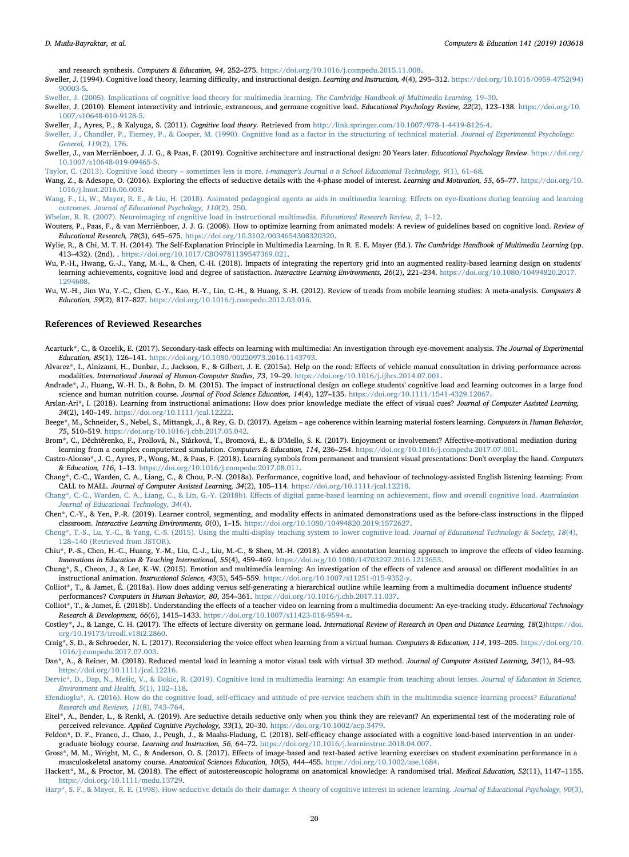and research synthesis. Computers & Education, 94, 252–275. [https://doi.org/10.1016/j.compedu.2015.11.008.](https://doi.org/10.1016/j.compedu.2015.11.008)

- <span id="page-19-0"></span>Sweller, J. (1994). Cognitive load theory, learning difficulty, and instructional design. Learning and Instruction, 4(4), 295-312. [https://doi.org/10.1016/0959-4752\(94\)](https://doi.org/10.1016/0959-4752(94)90003-5) [90003-5](https://doi.org/10.1016/0959-4752(94)90003-5).
- <span id="page-19-1"></span>[Sweller, J. \(2005\). Implications of cognitive load theory for multimedia learning.](http://refhub.elsevier.com/S0360-1315(19)30171-X/sref163) The Cambridge Handbook of Multimedia Learning, 19–30.
- <span id="page-19-9"></span>Sweller, J. (2010). Element interactivity and intrinsic, extraneous, and germane cognitive load. Educational Psychology Review, 22(2), 123–138. [https://doi.org/10.](https://doi.org/10.1007/s10648-010-9128-5) [1007/s10648-010-9128-5.](https://doi.org/10.1007/s10648-010-9128-5)

<span id="page-19-10"></span>Sweller, J., Ayres, P., & Kalyuga, S. (2011). Cognitive load theory. Retrieved from <http://link.springer.com/10.1007/978-1-4419-8126-4>.

<span id="page-19-8"></span>Sweller, J., van Merriënboer, J. J. G., & Paas, F. (2019). Cognitive architecture and instructional design: 20 Years later. Educational Psychology Review. [https://doi.org/](https://doi.org/10.1007/s10648-019-09465-5) [10.1007/s10648-019-09465-5](https://doi.org/10.1007/s10648-019-09465-5).

<span id="page-19-6"></span>Taylor, C. (2013). Cognitive load theory – sometimes less is more. *i-manager'[s Journal o n School Educational Technology, 9](http://refhub.elsevier.com/S0360-1315(19)30171-X/sref168)*(1), 61-68.

- <span id="page-19-22"></span>Wang, Z., & Adesope, O. (2016). Exploring the effects of seductive details with the 4-phase model of interest. Learning and Motivation, 55, 65-77. [https://doi.org/10.](https://doi.org/10.1016/j.lmot.2016.06.003) [1016/j.lmot.2016.06.003.](https://doi.org/10.1016/j.lmot.2016.06.003)
- <span id="page-19-30"></span>[Wang, F., Li, W., Mayer, R. E., & Liu, H. \(2018\). Animated pedagogical agents as aids in multimedia learning: E](http://refhub.elsevier.com/S0360-1315(19)30171-X/sref175)ffects on eye-fixations during learning and learning outcomes. [Journal of Educational Psychology, 110](http://refhub.elsevier.com/S0360-1315(19)30171-X/sref175)(2), 250.
- <span id="page-19-7"></span>[Whelan, R. R. \(2007\). Neuroimaging of cognitive load in instructional multimedia.](http://refhub.elsevier.com/S0360-1315(19)30171-X/sref177) Educational Research Review, 2, 1-12.
- <span id="page-19-31"></span>Wouters, P., Paas, F., & van Merriënboer, J. J. G. (2008). How to optimize learning from animated models: A review of guidelines based on cognitive load. Review of Educational Research, 78(3), 645–675. [https://doi.org/10.3102/0034654308320320.](https://doi.org/10.3102/0034654308320320)
- <span id="page-19-11"></span>Wylie, R., & Chi, M. T. H. (2014). The Self-Explanation Principle in Multimedia Learning. In R. E. E. Mayer (Ed.). The Cambridge Handbook of Multimedia Learning (pp. 413–432). (2nd). . [https://doi.org/10.1017/CBO9781139547369.021.](https://doi.org/10.1017/CBO9781139547369.021)
- <span id="page-19-24"></span>Wu, P.-H., Hwang, G.-J., Yang, M.-L., & Chen, C.-H. (2018). Impacts of integrating the repertory grid into an augmented reality-based learning design on students' learning achievements, cognitive load and degree of satisfaction. Interactive Learning Environments, 26(2), 221-234. [https://doi.org/10.1080/10494820.2017.](https://doi.org/10.1080/10494820.2017.1294608) [1294608](https://doi.org/10.1080/10494820.2017.1294608).
- <span id="page-19-4"></span>Wu, W.-H., Jim Wu, Y.-C., Chen, C.-Y., Kao, H.-Y., Lin, C.-H., & Huang, S.-H. (2012). Review of trends from mobile learning studies: A meta-analysis. Computers & Education, 59(2), 817–827. <https://doi.org/10.1016/j.compedu.2012.03.016>.

## References of Reviewed Researches

- <span id="page-19-23"></span>Acarturk\*, C., & Ozcelik, E. (2017). Secondary-task effects on learning with multimedia: An investigation through eye-movement analysis. The Journal of Experimental Education, 85(1), 126–141. [https://doi.org/10.1080/00220973.2016.1143793.](https://doi.org/10.1080/00220973.2016.1143793)
- <span id="page-19-20"></span>Alvarez\*, I., Alnizami, H., Dunbar, J., Jackson, F., & Gilbert, J. E. (2015a). Help on the road: Effects of vehicle manual consultation in driving performance across modalities. International Journal of Human-Computer Studies, 73, 19–29. <https://doi.org/10.1016/j.ijhcs.2014.07.001>.
- <span id="page-19-2"></span>Andrade\*, J., Huang, W.-H. D., & Bohn, D. M. (2015). The impact of instructional design on college students' cognitive load and learning outcomes in a large food science and human nutrition course. Journal of Food Science Education, 14(4), 127-135. <https://doi.org/10.1111/1541-4329.12067>.
- <span id="page-19-25"></span>Arslan-Ari\*, I. (2018). Learning from instructional animations: How does prior knowledge mediate the effect of visual cues? Journal of Computer Assisted Learning, 34(2), 140–149. <https://doi.org/10.1111/jcal.12222>.
- <span id="page-19-19"></span>Beege\*, M., Schneider, S., Nebel, S., Mittangk, J., & Rey, G. D. (2017). Ageism – age coherence within learning material fosters learning. Computers in Human Behavior, 75, 510–519. [https://doi.org/10.1016/j.chb.2017.05.042.](https://doi.org/10.1016/j.chb.2017.05.042)
- <span id="page-19-14"></span>Brom\*, C., Děchtěrenko, F., Frollová, N., Stárková, T., Bromová, E., & D'Mello, S. K. (2017). Enjoyment or involvement? Affective-motivational mediation during learning from a complex computerized simulation. Computers & Education, 114, 236–254. [https://doi.org/10.1016/j.compedu.2017.07.001.](https://doi.org/10.1016/j.compedu.2017.07.001)
- <span id="page-19-33"></span>Castro-Alonso\*, J. C., Ayres, P., Wong, M., & Paas, F. (2018). Learning symbols from permanent and transient visual presentations: Don't overplay the hand. Computers & Education, 116, 1–13. <https://doi.org/10.1016/j.compedu.2017.08.011>.
- <span id="page-19-15"></span>Chang\*, C.-C., Warden, C. A., Liang, C., & Chou, P.-N. (2018a). Performance, cognitive load, and behaviour of technology-assisted English listening learning: From CALL to MALL. Journal of Computer Assisted Learning, 34(2), 105–114. [https://doi.org/10.1111/jcal.12218.](https://doi.org/10.1111/jcal.12218)
- <span id="page-19-16"></span>[Chang\\*, C.-C., Warden, C. A., Liang, C., & Lin, G.-Y. \(2018b\). E](http://refhub.elsevier.com/S0360-1315(19)30171-X/sref22)ffects of digital game-based learning on achievement, flow and overall cognitive load. Australasian [Journal of Educational Technology, 34](http://refhub.elsevier.com/S0360-1315(19)30171-X/sref22)(4).
- <span id="page-19-12"></span>Chen\*, C.-Y., & Yen, P.-R. (2019). Learner control, segmenting, and modality effects in animated demonstrations used as the before-class instructions in the flipped classroom. Interactive Learning Environments, 0(0), 1–15. <https://doi.org/10.1080/10494820.2019.1572627>.

<span id="page-19-5"></span>Cheng\*, [T.-S., Lu, Y.-C., & Yang, C.-S. \(2015\). Using the multi-display teaching system to lower cognitive load.](http://refhub.elsevier.com/S0360-1315(19)30171-X/sref24) Journal of Educational Technology & Society, 18(4), 128–[140 \(Retrieved from JSTOR\)](http://refhub.elsevier.com/S0360-1315(19)30171-X/sref24).

- Chiu\*, P.-S., Chen, H.-C., Huang, Y.-M., Liu, C.-J., Liu, M.-C., & Shen, M.-H. (2018). A video annotation learning approach to improve the effects of video learning. Innovations in Education & Teaching International, 55(4), 459–469. <https://doi.org/10.1080/14703297.2016.1213653>.
- Chung\*, S., Cheon, J., & Lee, K.-W. (2015). Emotion and multimedia learning: An investigation of the effects of valence and arousal on different modalities in an instructional animation. Instructional Science, 43(5), 545–559. <https://doi.org/10.1007/s11251-015-9352-y>.
- <span id="page-19-27"></span>Colliot\*, T., & Jamet, É. (2018a). How does adding versus self-generating a hierarchical outline while learning from a multimedia document influence students' performances? Computers in Human Behavior, 80, 354–361. [https://doi.org/10.1016/j.chb.2017.11.037.](https://doi.org/10.1016/j.chb.2017.11.037)
- <span id="page-19-28"></span>Colliot<sup>\*</sup>, T., & Jamet, É. (2018b). Understanding the effects of a teacher video on learning from a multimedia document: An eve-tracking study. *Educational Technology* Research & Development, 66(6), 1415–1433. <https://doi.org/10.1007/s11423-018-9594-x>.
- <span id="page-19-13"></span>Costley\*, J., & Lange, C. H. (2017). The effects of lecture diversity on germane load. International Review of Research in Open and Distance Learning, 18(2[\)https://doi.](https://doi.org/10.19173/irrodl.v18i2.2860) [org/10.19173/irrodl.v18i2.2860](https://doi.org/10.19173/irrodl.v18i2.2860).

<span id="page-19-3"></span>Craig\*, S. D., & Schroeder, N. L. (2017). Reconsidering the voice effect when learning from a virtual human. Computers & Education, 114, 193–205. [https://doi.org/10.](https://doi.org/10.1016/j.compedu.2017.07.003) [1016/j.compedu.2017.07.003](https://doi.org/10.1016/j.compedu.2017.07.003).

<span id="page-19-29"></span>Dan\*, A., & Reiner, M. (2018). Reduced mental load in learning a motor visual task with virtual 3D method. Journal of Computer Assisted Learning, 34(1), 84–93. <https://doi.org/10.1111/jcal.12216>.

Dervic\*, D., Dap, N., Mešic, V., & Đokic, R. (2019). Cognitive load in multimedia learning: An example from teaching about lenses. Journal of Education in Science, [Environment and Health, 5](http://refhub.elsevier.com/S0360-1315(19)30171-X/sref36)(1), 102–118.

<span id="page-19-26"></span>Efendioglu\*, A. (2016). How do the cognitive load, self-effi[cacy and attitude of pre-service teachers shift in the multimedia science learning process?](http://refhub.elsevier.com/S0360-1315(19)30171-X/sref39) Educational [Research and Reviews, 11](http://refhub.elsevier.com/S0360-1315(19)30171-X/sref39)(8), 743–764.

- <span id="page-19-18"></span>Eitel\*, A., Bender, L., & Renkl, A. (2019). Are seductive details seductive only when you think they are relevant? An experimental test of the moderating role of perceived relevance. Applied Cognitive Psychology, 33(1), 20–30. [https://doi.org/10.1002/acp.3479.](https://doi.org/10.1002/acp.3479)
- <span id="page-19-17"></span>Feldon\*, D. F., Franco, J., Chao, J., Peugh, J., & Maahs-Fladung, C. (2018). Self-efficacy change associated with a cognitive load-based intervention in an undergraduate biology course. Learning and Instruction, 56, 64–72. <https://doi.org/10.1016/j.learninstruc.2018.04.007>.
- Gross\*, M. M., Wright, M. C., & Anderson, O. S. (2017). Effects of image-based and text-based active learning exercises on student examination performance in a musculoskeletal anatomy course. Anatomical Sciences Education, 10(5), 444–455. [https://doi.org/10.1002/ase.1684.](https://doi.org/10.1002/ase.1684)
- Hackett\*, M., & Proctor, M. (2018). The effect of autostereoscopic holograms on anatomical knowledge: A randomised trial. Medical Education, 52(11), 1147-1155. <https://doi.org/10.1111/medu.13729>.

<span id="page-19-21"></span>Harp<sup>\*</sup>, S. F., & Mayer, R. E. (1998). How seductive details do their damage: A theory of cognitive interest in science learning. Journal of Educational Psychology, 90(3).

<span id="page-19-32"></span>[Sweller, J., Chandler, P., Tierney, P., & Cooper, M. \(1990\). Cognitive load as a factor in the structuring of technical material.](http://refhub.elsevier.com/S0360-1315(19)30171-X/sref166) Journal of Experimental Psychology: [General, 119](http://refhub.elsevier.com/S0360-1315(19)30171-X/sref166)(2), 176.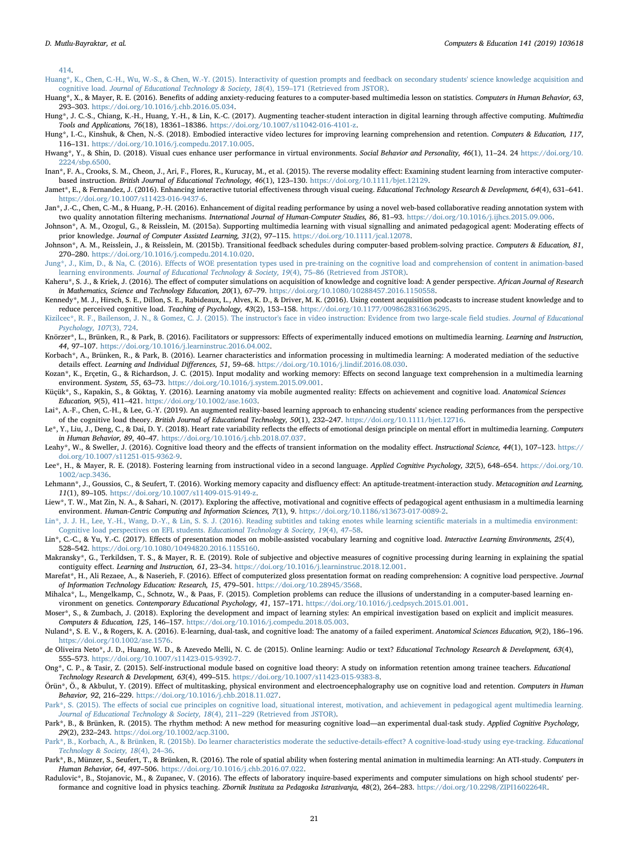[414.](http://refhub.elsevier.com/S0360-1315(19)30171-X/sref48)

- [Huang\\*, K., Chen, C.-H., Wu, W.-S., & Chen, W.-Y. \(2015\). Interactivity of question prompts and feedback on secondary students' science knowledge acquisition and](http://refhub.elsevier.com/S0360-1315(19)30171-X/sref51) cognitive load. [Journal of Educational Technology & Society, 18](http://refhub.elsevier.com/S0360-1315(19)30171-X/sref51)(4), 159–171 (Retrieved from JSTOR).
- <span id="page-20-31"></span>Huang\*, X., & Mayer, R. E. (2016). Benefits of adding anxiety-reducing features to a computer-based multimedia lesson on statistics. Computers in Human Behavior, 63, 293–303. [https://doi.org/10.1016/j.chb.2016.05.034.](https://doi.org/10.1016/j.chb.2016.05.034)
- <span id="page-20-21"></span>Hung\*, J. C.-S., Chiang, K.-H., Huang, Y.-H., & Lin, K.-C. (2017). Augmenting teacher-student interaction in digital learning through affective computing. Multimedia Tools and Applications, 76(18), 18361–18386. <https://doi.org/10.1007/s11042-016-4101-z>.
- <span id="page-20-28"></span>Hung\*, I.-C., Kinshuk, & Chen, N.-S. (2018). Embodied interactive video lectures for improving learning comprehension and retention. Computers & Education, 117, 116–131. <https://doi.org/10.1016/j.compedu.2017.10.005>.
- <span id="page-20-14"></span>Hwang\*, Y., & Shin, D. (2018). Visual cues enhance user performance in virtual environments. Social Behavior and Personality, 46(1), 11-24. 24 [https://doi.org/10.](https://doi.org/10.2224/sbp.6500) [2224/sbp.6500](https://doi.org/10.2224/sbp.6500).
- <span id="page-20-7"></span>Inan\*, F. A., Crooks, S. M., Cheon, J., Ari, F., Flores, R., Kurucay, M., et al. (2015). The reverse modality effect: Examining student learning from interactive computerbased instruction. British Journal of Educational Technology, 46(1), 123–130. [https://doi.org/10.1111/bjet.12129.](https://doi.org/10.1111/bjet.12129)
- <span id="page-20-29"></span>Jamet\*, E., & Fernandez, J. (2016). Enhancing interactive tutorial effectiveness through visual cueing. Educational Technology Research & Development, 64(4), 631–641. <https://doi.org/10.1007/s11423-016-9437-6>.
- <span id="page-20-10"></span>Jan\*, J.-C., Chen, C.-M., & Huang, P.-H. (2016). Enhancement of digital reading performance by using a novel web-based collaborative reading annotation system with two quality annotation filtering mechanisms. International Journal of Human-Computer Studies, 86, 81-93. <https://doi.org/10.1016/j.ijhcs.2015.09.006>.
- <span id="page-20-4"></span>Johnson\*, A. M., Ozogul, G., & Reisslein, M. (2015a). Supporting multimedia learning with visual signalling and animated pedagogical agent: Moderating effects of prior knowledge. Journal of Computer Assisted Learning, 31(2), 97-115. <https://doi.org/10.1111/jcal.12078>.
- <span id="page-20-5"></span>Johnson\*, A. M., Reisslein, J., & Reisslein, M. (2015b). Transitional feedback schedules during computer-based problem-solving practice. Computers & Education, 81, 270–280. <https://doi.org/10.1016/j.compedu.2014.10.020>.
- <span id="page-20-18"></span>Jung\*, J., Kim, D., & Na, C. (2016). Eff[ects of WOE presentation types used in pre-training on the cognitive load and comprehension of content in animation-based](http://refhub.elsevier.com/S0360-1315(19)30171-X/sref65) learning environments. [Journal of Educational Technology & Society, 19](http://refhub.elsevier.com/S0360-1315(19)30171-X/sref65)(4), 75–86 (Retrieved from JSTOR).
- <span id="page-20-11"></span>Kaheru\*, S. J., & Kriek, J. (2016). The effect of computer simulations on acquisition of knowledge and cognitive load: A gender perspective. African Journal of Research in Mathematics, Science and Technology Education, 20(1), 67–79. [https://doi.org/10.1080/10288457.2016.1150558.](https://doi.org/10.1080/10288457.2016.1150558)
- <span id="page-20-15"></span>Kennedy\*, M. J., Hirsch, S. E., Dillon, S. E., Rabideaux, L., Alves, K. D., & Driver, M. K. (2016). Using content acquisition podcasts to increase student knowledge and to reduce perceived cognitive load. Teaching of Psychology, 43(2), 153–158. <https://doi.org/10.1177/0098628316636295>.
- <span id="page-20-17"></span>[Kizilcec\\*, R. F., Bailenson, J. N., & Gomez, C. J. \(2015\). The instructor's face in video instruction: Evidence from two large-scale](http://refhub.elsevier.com/S0360-1315(19)30171-X/sref71) field studies. Journal of Educational [Psychology, 107](http://refhub.elsevier.com/S0360-1315(19)30171-X/sref71)(3), 724.
- <span id="page-20-26"></span>Knörzer\*, L., Brünken, R., & Park, B. (2016). Facilitators or suppressors: Effects of experimentally induced emotions on multimedia learning. Learning and Instruction, 44, 97–107. [https://doi.org/10.1016/j.learninstruc.2016.04.002.](https://doi.org/10.1016/j.learninstruc.2016.04.002)
- <span id="page-20-8"></span>Korbach\*, A., Brünken, R., & Park, B. (2016). Learner characteristics and information processing in multimedia learning: A moderated mediation of the seductive details effect. Learning and Individual Differences, 51, 59–68. <https://doi.org/10.1016/j.lindif.2016.08.030>.
- <span id="page-20-24"></span>Kozan\*, K., Erçetin, G., & Richardson, J. C. (2015). Input modality and working memory: Effects on second language text comprehension in a multimedia learning environment. System, 55, 63–73. [https://doi.org/10.1016/j.system.2015.09.001.](https://doi.org/10.1016/j.system.2015.09.001)
- Küçük\*, S., Kapakin, S., & Göktaş, Y. (2016). Learning anatomy via mobile augmented reality: Effects on achievement and cognitive load. Anatomical Sciences Education, 9(5), 411–421. [https://doi.org/10.1002/ase.1603.](https://doi.org/10.1002/ase.1603)
- <span id="page-20-20"></span>Lai\*, A.-F., Chen, C.-H., & Lee, G.-Y. (2019). An augmented reality-based learning approach to enhancing students' science reading performances from the perspective of the cognitive load theory. British Journal of Educational Technology, 50(1), 232–247. <https://doi.org/10.1111/bjet.12716>.
- <span id="page-20-22"></span>Le\*, Y., Liu, J., Deng, C., & Dai, D. Y. (2018). Heart rate variability reflects the effects of emotional design principle on mental effort in multimedia learning. Computers in Human Behavior, 89, 40–47. <https://doi.org/10.1016/j.chb.2018.07.037>.
- <span id="page-20-0"></span>Leahy\*, W., & Sweller, J. (2016). Cognitive load theory and the effects of transient information on the modality effect. Instructional Science, 44(1), 107–123. [https://](https://doi.org/10.1007/s11251-015-9362-9) [doi.org/10.1007/s11251-015-9362-9.](https://doi.org/10.1007/s11251-015-9362-9)
- <span id="page-20-25"></span>Lee\*, H., & Mayer, R. E. (2018). Fostering learning from instructional video in a second language. Applied Cognitive Psychology, 32(5), 648-654. [https://doi.org/10.](https://doi.org/10.1002/acp.3436) [1002/acp.3436](https://doi.org/10.1002/acp.3436).
- <span id="page-20-27"></span>Lehmann\*, J., Goussios, C., & Seufert, T. (2016). Working memory capacity and disfluency effect: An aptitude-treatment-interaction study. Metacognition and Learning, 11(1), 89–105. [https://doi.org/10.1007/s11409-015-9149-z.](https://doi.org/10.1007/s11409-015-9149-z)
- <span id="page-20-12"></span>Liew\*, T. W., Mat Zin, N. A., & Sahari, N. (2017). Exploring the affective, motivational and cognitive effects of pedagogical agent enthusiasm in a multimedia learning environment. Human-Centric Computing and Information Sciences, 7(1), 9. <https://doi.org/10.1186/s13673-017-0089-2>.
- <span id="page-20-13"></span>[Lin\\*, J. J. H., Lee, Y.-H., Wang, D.-Y., & Lin, S. S. J. \(2016\). Reading subtitles and taking enotes while learning scienti](http://refhub.elsevier.com/S0360-1315(19)30171-X/sref90)fic materials in a multimedia environment: [Cognitive load perspectives on EFL students.](http://refhub.elsevier.com/S0360-1315(19)30171-X/sref90) Educational Technology & Society, 19(4), 47–58.
- <span id="page-20-23"></span>Lin\*, C.-C., & Yu, Y.-C. (2017). Effects of presentation modes on mobile-assisted vocabulary learning and cognitive load. Interactive Learning Environments, 25(4), 528–542. <https://doi.org/10.1080/10494820.2016.1155160>.
- <span id="page-20-6"></span>Makransky\*, G., Terkildsen, T. S., & Mayer, R. E. (2019). Role of subjective and objective measures of cognitive processing during learning in explaining the spatial contiguity effect. Learning and Instruction, 61, 23–34. <https://doi.org/10.1016/j.learninstruc.2018.12.001>.
- Marefat\*, H., Ali Rezaee, A., & Naserieh, F. (2016). Effect of computerized gloss presentation format on reading comprehension: A cognitive load perspective. Journal of Information Technology Education: Research, 15, 479–501. [https://doi.org/10.28945/3568.](https://doi.org/10.28945/3568)
- <span id="page-20-30"></span>Mihalca\*, L., Mengelkamp, C., Schnotz, W., & Paas, F. (2015). Completion problems can reduce the illusions of understanding in a computer-based learning environment on genetics. Contemporary Educational Psychology, 41, 157–171. [https://doi.org/10.1016/j.cedpsych.2015.01.001.](https://doi.org/10.1016/j.cedpsych.2015.01.001)
- <span id="page-20-16"></span>Moser\*, S., & Zumbach, J. (2018). Exploring the development and impact of learning styles: An empirical investigation based on explicit and implicit measures. Computers & Education, 125, 146–157. <https://doi.org/10.1016/j.compedu.2018.05.003>.
- Nuland\*, S. E. V., & Rogers, K. A. (2016). E-learning, dual-task, and cognitive load: The anatomy of a failed experiment. Anatomical Sciences Education, 9(2), 186-196. [https://doi.org/10.1002/ase.1576.](https://doi.org/10.1002/ase.1576)
- de Oliveira Neto\*, J. D., Huang, W. D., & Azevedo Melli, N. C. de (2015). Online learning: Audio or text? Educational Technology Research & Development, 63(4), 555–573. [https://doi.org/10.1007/s11423-015-9392-7.](https://doi.org/10.1007/s11423-015-9392-7)
- Ong\*, C. P., & Tasir, Z. (2015). Self-instructional module based on cognitive load theory: A study on information retention among trainee teachers. Educational Technology Research & Development, 63(4), 499–515. [https://doi.org/10.1007/s11423-015-9383-8.](https://doi.org/10.1007/s11423-015-9383-8)
- <span id="page-20-3"></span>Örün\*, Ö., & Akbulut, Y. (2019). Effect of multitasking, physical environment and electroencephalography use on cognitive load and retention. Computers in Human Behavior, 92, 216–229. <https://doi.org/10.1016/j.chb.2018.11.027>.
- <span id="page-20-1"></span>Park\*, S. (2015). The eff[ects of social cue principles on cognitive load, situational interest, motivation, and achievement in pedagogical agent multimedia learning.](http://refhub.elsevier.com/S0360-1315(19)30171-X/sref127) [Journal of Educational Technology & Society, 18](http://refhub.elsevier.com/S0360-1315(19)30171-X/sref127)(4), 211–229 (Retrieved from JSTOR).
- <span id="page-20-9"></span>Park\*, B., & Brünken, R. (2015). The rhythm method: A new method for measuring cognitive load—an experimental dual-task study. Applied Cognitive Psychology, 29(2), 232–243. [https://doi.org/10.1002/acp.3100.](https://doi.org/10.1002/acp.3100)
- <span id="page-20-2"></span>[Park\\*, B., Korbach, A., & Brünken, R. \(2015b\). Do learner characteristics moderate the seductive-details-e](http://refhub.elsevier.com/S0360-1315(19)30171-X/sref129)ffect? A cognitive-load-study using eye-tracking. Educational [Technology & Society, 18](http://refhub.elsevier.com/S0360-1315(19)30171-X/sref129)(4), 24–36.
- <span id="page-20-19"></span>Park\*, B., Münzer, S., Seufert, T., & Brünken, R. (2016). The role of spatial ability when fostering mental animation in multimedia learning: An ATI-study. Computers in Human Behavior, 64, 497–506. <https://doi.org/10.1016/j.chb.2016.07.022>.
- Radulovic\*, B., Stojanovic, M., & Zupanec, V. (2016). The effects of laboratory inquire-based experiments and computer simulations on high school students' performance and cognitive load in physics teaching. Zbornik Instituta za Pedagoska Istrazivanja, 48(2), 264–283. [https://doi.org/10.2298/ZIPI1602264R.](https://doi.org/10.2298/ZIPI1602264R)